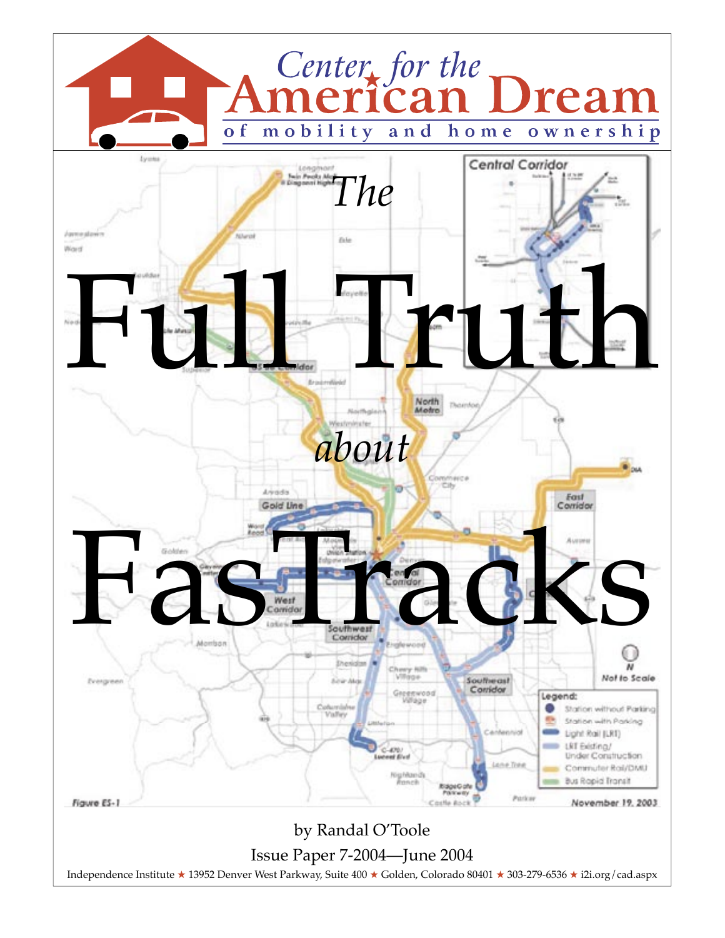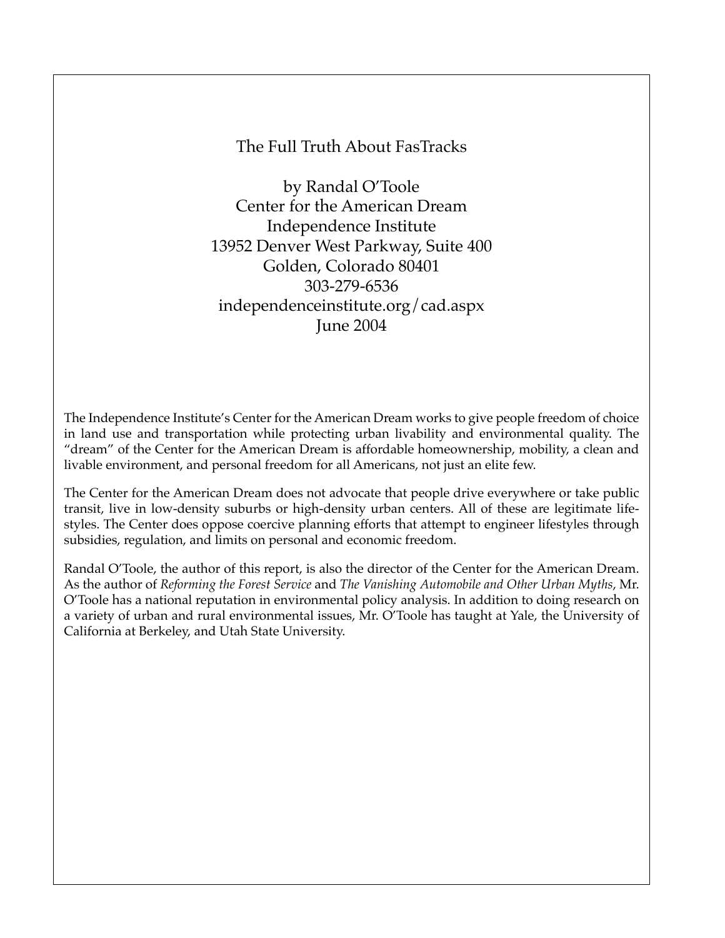#### The Full Truth About FasTracks

by Randal O'Toole Center for the American Dream Independence Institute 13952 Denver West Parkway, Suite 400 Golden, Colorado 80401 303-279-6536 independenceinstitute.org/cad.aspx June 2004

The Independence Institute's Center for the American Dream works to give people freedom of choice in land use and transportation while protecting urban livability and environmental quality. The "dream" of the Center for the American Dream is affordable homeownership, mobility, a clean and livable environment, and personal freedom for all Americans, not just an elite few.

The Center for the American Dream does not advocate that people drive everywhere or take public transit, live in low-density suburbs or high-density urban centers. All of these are legitimate lifestyles. The Center does oppose coercive planning efforts that attempt to engineer lifestyles through subsidies, regulation, and limits on personal and economic freedom.

Randal O'Toole, the author of this report, is also the director of the Center for the American Dream. As the author of *Reforming the Forest Service* and *The Vanishing Automobile and Other Urban Myths*, Mr. O'Toole has a national reputation in environmental policy analysis. In addition to doing research on a variety of urban and rural environmental issues, Mr. O'Toole has taught at Yale, the University of California at Berkeley, and Utah State University.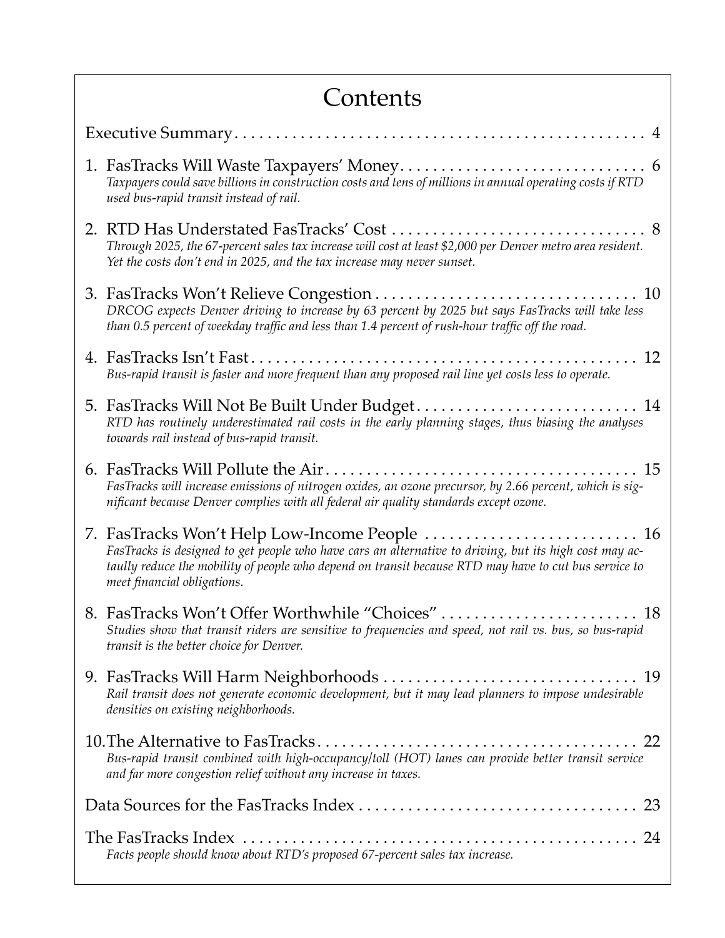| Contents                                                                                                                                                                                                                                       |  |  |  |
|------------------------------------------------------------------------------------------------------------------------------------------------------------------------------------------------------------------------------------------------|--|--|--|
|                                                                                                                                                                                                                                                |  |  |  |
| Taxpayers could save billions in construction costs and tens of millions in annual operating costs if RTD<br>used bus-rapid transit instead of rail.                                                                                           |  |  |  |
| 2. RTD Has Understated FasTracks' Cost<br>8<br>Through 2025, the 67-percent sales tax increase will cost at least \$2,000 per Denver metro area resident.<br>Yet the costs don't end in 2025, and the tax increase may never sunset.           |  |  |  |
| DRCOG expects Denver driving to increase by 63 percent by 2025 but says FasTracks will take less<br>than 0.5 percent of weekday traffic and less than 1.4 percent of rush-hour traffic off the road.                                           |  |  |  |
| 12<br>Bus-rapid transit is faster and more frequent than any proposed rail line yet costs less to operate.                                                                                                                                     |  |  |  |
| RTD has routinely underestimated rail costs in the early planning stages, thus biasing the analyses<br>towards rail instead of bus-rapid transit.                                                                                              |  |  |  |
| 15<br>FasTracks will increase emissions of nitrogen oxides, an ozone precursor, by 2.66 percent, which is sig-<br>nificant because Denver complies with all federal air quality standards except ozone.                                        |  |  |  |
| FasTracks is designed to get people who have cars an alternative to driving, but its high cost may ac-<br>taully reduce the mobility of people who depend on transit because RTD may have to cut bus service to<br>meet financial obligations. |  |  |  |
| Studies show that transit riders are sensitive to frequencies and speed, not rail vs. bus, so bus-rapid<br>transit is the better choice for Denver.                                                                                            |  |  |  |
| Rail transit does not generate economic development, but it may lead planners to impose undesirable<br>densities on existing neighborhoods.                                                                                                    |  |  |  |
| Bus-rapid transit combined with high-occupancy/toll (HOT) lanes can provide better transit service<br>and far more congestion relief without any increase in taxes.                                                                            |  |  |  |
|                                                                                                                                                                                                                                                |  |  |  |
| Facts people should know about RTD's proposed 67-percent sales tax increase.                                                                                                                                                                   |  |  |  |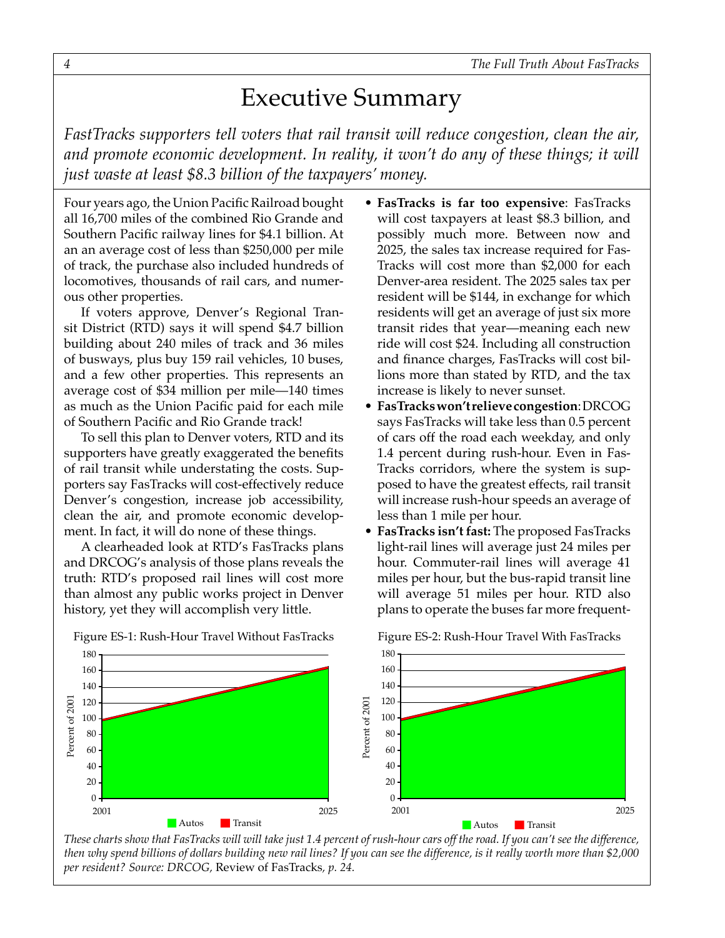## Executive Summary

<span id="page-3-0"></span>*FastTracks supporters tell voters that rail transit will reduce congestion, clean the air, and promote economic development. In reality, it won't do any of these things; it will just waste at least \$8.3 billion of the taxpayers' money.*

Four years ago, the Union Pacific Railroad bought all 16,700 miles of the combined Rio Grande and Southern Pacific railway lines for \$4.1 billion. At an an average cost of less than \$250,000 per mile of track, the purchase also included hundreds of locomotives, thousands of rail cars, and numerous other properties.

If voters approve, Denver's Regional Transit District (RTD) says it will spend \$4.7 billion building about 240 miles of track and 36 miles of busways, plus buy 159 rail vehicles, 10 buses, and a few other properties. This represents an average cost of \$34 million per mile—140 times as much as the Union Pacific paid for each mile of Southern Pacific and Rio Grande track!

To sell this plan to Denver voters, RTD and its supporters have greatly exaggerated the benefits of rail transit while understating the costs. Supporters say FasTracks will cost-effectively reduce Denver's congestion, increase job accessibility, clean the air, and promote economic development. In fact, it will do none of these things.

A clearheaded look at RTD's FasTracks plans and DRCOG's analysis of those plans reveals the truth: RTD's proposed rail lines will cost more than almost any public works project in Denver history, yet they will accomplish very little.

- **FasTracks is far too expensive**: FasTracks will cost taxpayers at least \$8.3 billion, and possibly much more. Between now and 2025, the sales tax increase required for Fas-Tracks will cost more than \$2,000 for each Denver-area resident. The 2025 sales tax per resident will be \$144, in exchange for which residents will get an average of just six more transit rides that year—meaning each new ride will cost \$24. Including all construction and finance charges, FasTracks will cost billions more than stated by RTD, and the tax increase is likely to never sunset.
- **FasTracks won't relieve congestion**: DRCOG says FasTracks will take less than 0.5 percent of cars off the road each weekday, and only 1.4 percent during rush-hour. Even in Fas-Tracks corridors, where the system is supposed to have the greatest effects, rail transit will increase rush-hour speeds an average of less than 1 mile per hour.
- **FasTracks isn't fast:** The proposed FasTracks light-rail lines will average just 24 miles per hour. Commuter-rail lines will average 41 miles per hour, but the bus-rapid transit line will average 51 miles per hour. RTD also plans to operate the buses far more frequent-



 $F(3, D)$  I II and  $F$  Travel With Fastracks  $F$ Figure ES-1: Rush-Hour Travel Without FasTracks Figure ES-2: Rush-Hour Travel With FasTracks

*These charts show that FasTracks will will take just 1.4 percent of rush-hour cars off the road. If you can't see the difference, then why spend billions of dollars building new rail lines? If you can see the difference, is it really worth more than \$2,000 per resident? Source: DRCOG,* Review of FasTracks*, p. 24.*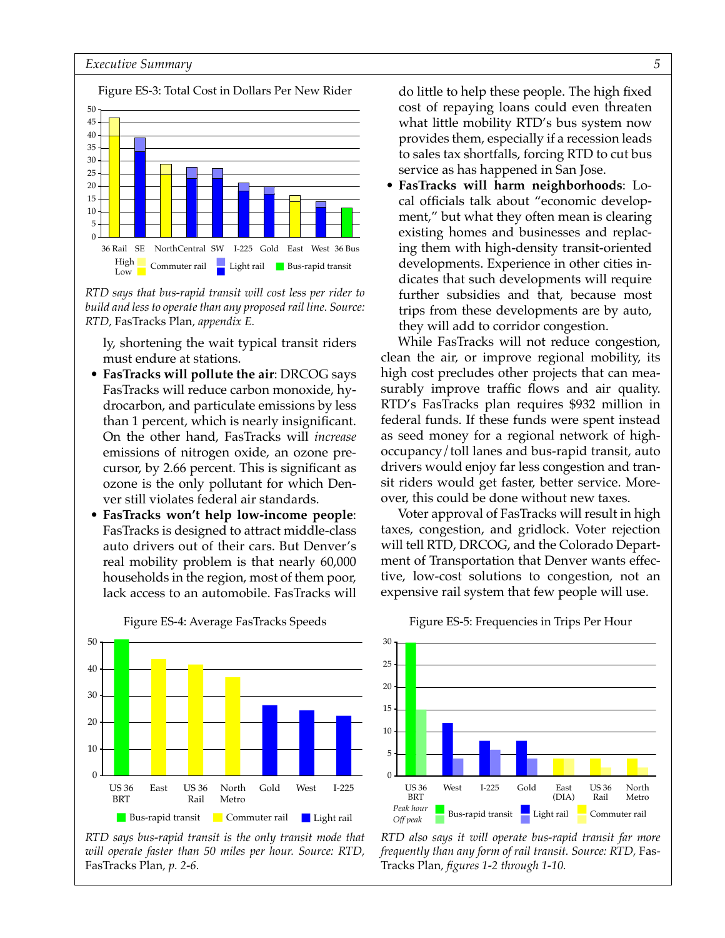

*RTD says that bus-rapid transit will cost less per rider to build and less to operate than any proposed rail line. Source: RTD,* FasTracks Plan*, appendix E.* 

ly, shortening the wait typical transit riders must endure at stations.

- **FasTracks will pollute the air**: DRCOG says FasTracks will reduce carbon monoxide, hydrocarbon, and particulate emissions by less than 1 percent, which is nearly insignificant. On the other hand, FasTracks will *increase* emissions of nitrogen oxide, an ozone precursor, by 2.66 percent. This is significant as ozone is the only pollutant for which Denver still violates federal air standards.
- **FasTracks won't help low-income people**: FasTracks is designed to attract middle-class auto drivers out of their cars. But Denver's real mobility problem is that nearly 60,000 households in the region, most of them poor, lack access to an automobile. FasTracks will



Figure ES-4: Average FasTracks Speeds

do little to help these people. The high fixed cost of repaying loans could even threaten what little mobility RTD's bus system now provides them, especially if a recession leads to sales tax shortfalls, forcing RTD to cut bus service as has happened in San Jose.

 • **FasTracks will harm neighborhoods**: Local officials talk about "economic development," but what they often mean is clearing existing homes and businesses and replacing them with high-density transit-oriented developments. Experience in other cities indicates that such developments will require further subsidies and that, because most trips from these developments are by auto, they will add to corridor congestion.

While FasTracks will not reduce congestion, clean the air, or improve regional mobility, its high cost precludes other projects that can measurably improve traffic flows and air quality. RTD's FasTracks plan requires \$932 million in federal funds. If these funds were spent instead as seed money for a regional network of highoccupancy/toll lanes and bus-rapid transit, auto drivers would enjoy far less congestion and transit riders would get faster, better service. Moreover, this could be done without new taxes.

Voter approval of FasTracks will result in high taxes, congestion, and gridlock. Voter rejection will tell RTD, DRCOG, and the Colorado Department of Transportation that Denver wants effective, low-cost solutions to congestion, not an expensive rail system that few people will use.



#### Figure ES-5: Frequencies in Trips Per Hour

*RTD says bus-rapid transit is the only transit mode that will operate faster than 50 miles per hour. Source: RTD,*  FasTracks Plan*, p. 2-6.*

*RTD also says it will operate bus-rapid transit far more frequently than any form of rail transit. Source: RTD,* Fas-Tracks Plan*, figures 1-2 through 1-10.*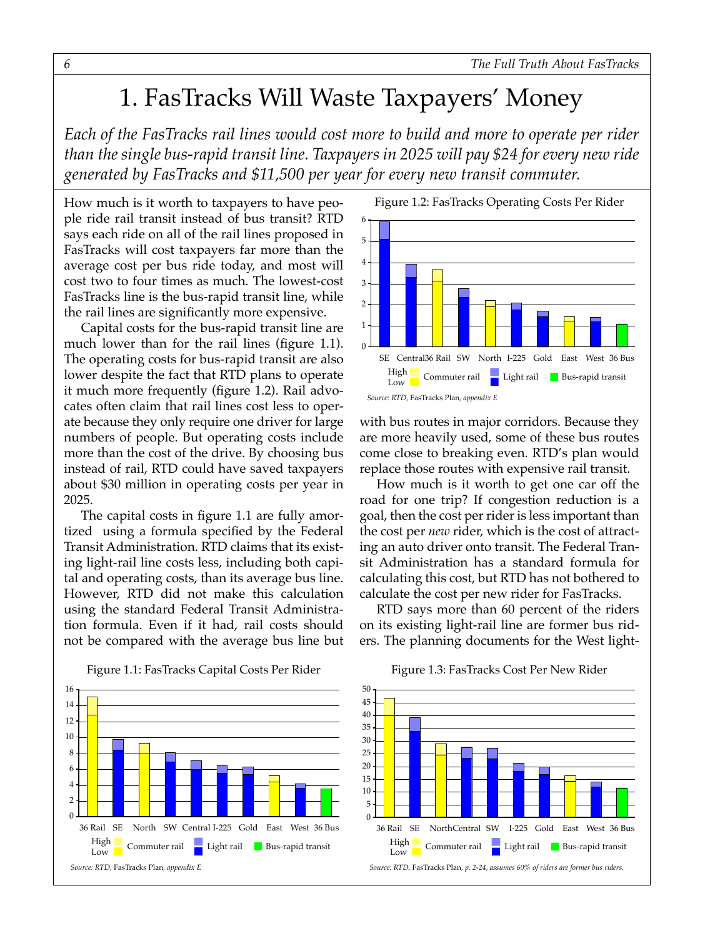## 1. FasTracks Will Waste Taxpayers' Money

*Each of the FasTracks rail lines would cost more to build and more to operate per rider than the single bus-rapid transit line. Taxpayers in 2025 will pay \$24 for every new ride generated by FasTracks and \$11,500 per year for every new transit commuter.* 

How much is it worth to taxpayers to have people ride rail transit instead of bus transit? RTD says each ride on all of the rail lines proposed in FasTracks will cost taxpayers far more than the average cost per bus ride today, and most will cost two to four times as much. The lowest-cost FasTracks line is the bus-rapid transit line, while the rail lines are significantly more expensive.

Capital costs for the bus-rapid transit line are much lower than for the rail lines (figure 1.1). The operating costs for bus-rapid transit are also lower despite the fact that RTD plans to operate it much more frequently (figure 1.2). Rail advocates often claim that rail lines cost less to operate because they only require one driver for large numbers of people. But operating costs include more than the cost of the drive. By choosing bus instead of rail, RTD could have saved taxpayers about \$30 million in operating costs per year in 2025.

The capital costs in figure 1.1 are fully amortized using a formula specified by the Federal Transit Administration. RTD claims that its existing light-rail line costs less, including both capital and operating costs, than its average bus line. However, RTD did not make this calculation using the standard Federal Transit Administration formula. Even if it had, rail costs should not be compared with the average bus line but



with bus routes in major corridors. Because they are more heavily used, some of these bus routes come close to breaking even. RTD's plan would replace those routes with expensive rail transit.

How much is it worth to get one car off the road for one trip? If congestion reduction is a goal, then the cost per rider is less important than the cost per *new* rider, which is the cost of attracting an auto driver onto transit. The Federal Transit Administration has a standard formula for calculating this cost, but RTD has not bothered to calculate the cost per new rider for FasTracks.

RTD says more than 60 percent of the riders on its existing light-rail line are former bus riders. The planning documents for the West light-



Figure 1.1: FasTracks Capital Costs Per Rider Figure 1.3: FasTracks Cost Per New Rider

Figure 1.3: FasTracks Cost Per New Rider

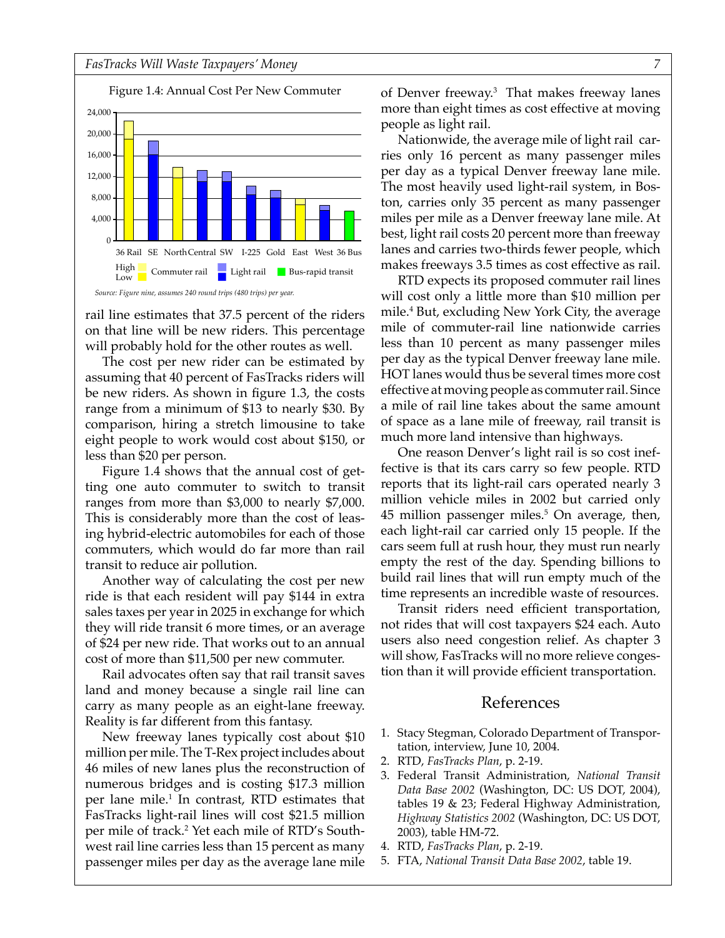Figure Nine: Annual Cost Per New Commuter Figure 1.4: Annual Cost Per New Commuter



rail line estimates that 37.5 percent of the riders on that line will be new riders. This percentage will probably hold for the other routes as well.

The cost per new rider can be estimated by assuming that 40 percent of FasTracks riders will be new riders. As shown in figure 1.3, the costs range from a minimum of \$13 to nearly \$30. By comparison, hiring a stretch limousine to take eight people to work would cost about \$150, or less than \$20 per person.

Figure 1.4 shows that the annual cost of getting one auto commuter to switch to transit ranges from more than \$3,000 to nearly \$7,000. This is considerably more than the cost of leasing hybrid-electric automobiles for each of those commuters, which would do far more than rail transit to reduce air pollution.

Another way of calculating the cost per new ride is that each resident will pay \$144 in extra sales taxes per year in 2025 in exchange for which they will ride transit 6 more times, or an average of \$24 per new ride. That works out to an annual cost of more than \$11,500 per new commuter.

Rail advocates often say that rail transit saves land and money because a single rail line can carry as many people as an eight-lane freeway. Reality is far different from this fantasy.

New freeway lanes typically cost about \$10 million per mile. The T-Rex project includes about 46 miles of new lanes plus the reconstruction of numerous bridges and is costing \$17.3 million per lane mile.1 In contrast, RTD estimates that FasTracks light-rail lines will cost \$21.5 million per mile of track.2 Yet each mile of RTD's Southwest rail line carries less than 15 percent as many passenger miles per day as the average lane mile

of Denver freeway.3 That makes freeway lanes more than eight times as cost effective at moving people as light rail.

Nationwide, the average mile of light rail carries only 16 percent as many passenger miles per day as a typical Denver freeway lane mile. The most heavily used light-rail system, in Boston, carries only 35 percent as many passenger miles per mile as a Denver freeway lane mile. At best, light rail costs 20 percent more than freeway lanes and carries two-thirds fewer people, which makes freeways 3.5 times as cost effective as rail.

RTD expects its proposed commuter rail lines will cost only a little more than \$10 million per mile.4 But, excluding New York City, the average mile of commuter-rail line nationwide carries less than 10 percent as many passenger miles per day as the typical Denver freeway lane mile. HOT lanes would thus be several times more cost effective at moving people as commuter rail. Since a mile of rail line takes about the same amount of space as a lane mile of freeway, rail transit is much more land intensive than highways.

One reason Denver's light rail is so cost ineffective is that its cars carry so few people. RTD reports that its light-rail cars operated nearly 3 million vehicle miles in 2002 but carried only  $45$  million passenger miles. $5$  On average, then, each light-rail car carried only 15 people. If the cars seem full at rush hour, they must run nearly empty the rest of the day. Spending billions to build rail lines that will run empty much of the time represents an incredible waste of resources.

Transit riders need efficient transportation, not rides that will cost taxpayers \$24 each. Auto users also need congestion relief. As chapter 3 will show, FasTracks will no more relieve congestion than it will provide efficient transportation.

- 1. Stacy Stegman, Colorado Department of Transportation, interview, June 10, 2004.
- 2. RTD, *FasTracks Plan*, p. 2-19.
- 3. Federal Transit Administration, *National Transit Data Base 2002* (Washington, DC: US DOT, 2004), tables 19 & 23; Federal Highway Administration, *Highway Statistics 2002* (Washington, DC: US DOT, 2003), table HM-72.
- 4. RTD, *FasTracks Plan*, p. 2-19.
- 5. FTA, *National Transit Data Base 2002*, table 19.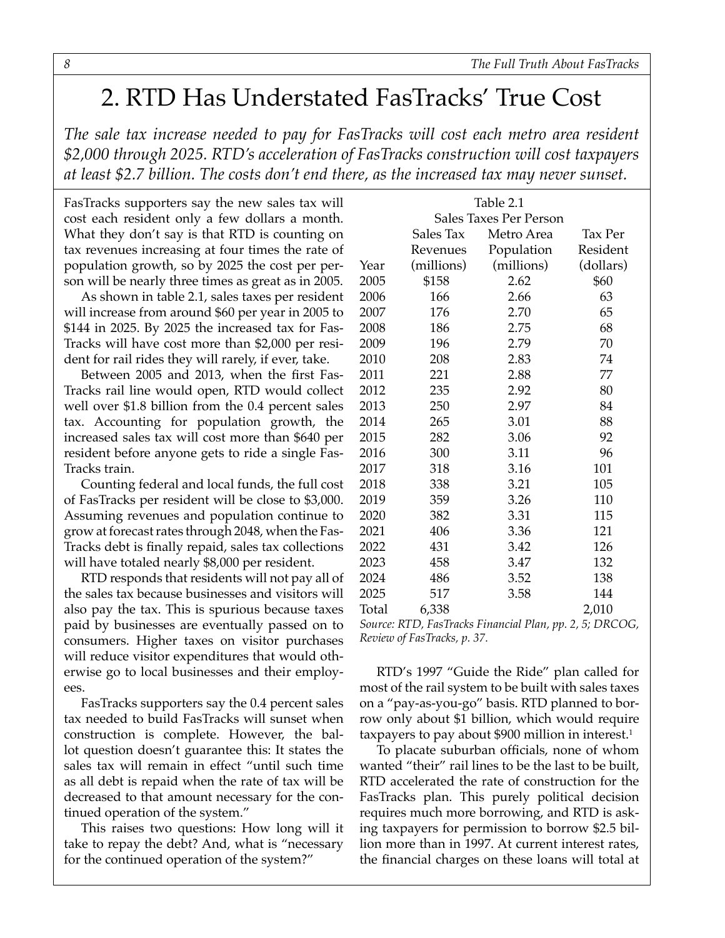## <span id="page-7-0"></span>2. RTD Has Understated FasTracks' True Cost

*The sale tax increase needed to pay for FasTracks will cost each metro area resident \$2,000 through 2025. RTD's acceleration of FasTracks construction will cost taxpayers at least \$2.7 billion. The costs don't end there, as the increased tax may never sunset.*

FasTracks supporters say the new sales tax will cost each resident only a few dollars a month. What they don't say is that RTD is counting on tax revenues increasing at four times the rate of population growth, so by 2025 the cost per person will be nearly three times as great as in 2005.

As shown in table 2.1, sales taxes per resident will increase from around \$60 per year in 2005 to \$144 in 2025. By 2025 the increased tax for Fas-Tracks will have cost more than \$2,000 per resident for rail rides they will rarely, if ever, take.

Between 2005 and 2013, when the first Fas-Tracks rail line would open, RTD would collect well over \$1.8 billion from the 0.4 percent sales tax. Accounting for population growth, the increased sales tax will cost more than \$640 per resident before anyone gets to ride a single Fas-Tracks train.

Counting federal and local funds, the full cost of FasTracks per resident will be close to \$3,000. Assuming revenues and population continue to grow at forecast rates through 2048, when the Fas-Tracks debt is finally repaid, sales tax collections will have totaled nearly \$8,000 per resident.

RTD responds that residents will not pay all of the sales tax because businesses and visitors will also pay the tax. This is spurious because taxes paid by businesses are eventually passed on to consumers. Higher taxes on visitor purchases will reduce visitor expenditures that would otherwise go to local businesses and their employees.

FasTracks supporters say the 0.4 percent sales tax needed to build FasTracks will sunset when construction is complete. However, the ballot question doesn't guarantee this: It states the sales tax will remain in effect "until such time as all debt is repaid when the rate of tax will be decreased to that amount necessary for the continued operation of the system."

This raises two questions: How long will it take to repay the debt? And, what is "necessary for the continued operation of the system?"

| Table 2.1              |            |            |           |  |
|------------------------|------------|------------|-----------|--|
| Sales Taxes Per Person |            |            |           |  |
|                        | Sales Tax  | Metro Area | Tax Per   |  |
|                        | Revenues   | Population | Resident  |  |
| Year                   | (millions) | (millions) | (dollars) |  |
| 2005                   | \$158      | 2.62       | \$60      |  |
| 2006                   | 166        | 2.66       | 63        |  |
| 2007                   | 176        | 2.70       | 65        |  |
| 2008                   | 186        | 2.75       | 68        |  |
| 2009                   | 196        | 2.79       | 70        |  |
| 2010                   | 208        | 2.83       | 74        |  |
| 2011                   | 221        | 2.88       | 77        |  |
| 2012                   | 235        | 2.92       | 80        |  |
| 2013                   | 250        | 2.97       | 84        |  |
| 2014                   | 265        | 3.01       | 88        |  |
| 2015                   | 282        | 3.06       | 92        |  |
| 2016                   | 300        | 3.11       | 96        |  |
| 2017                   | 318        | 3.16       | 101       |  |
| 2018                   | 338        | 3.21       | 105       |  |
| 2019                   | 359        | 3.26       | 110       |  |
| 2020                   | 382        | 3.31       | 115       |  |
| 2021                   | 406        | 3.36       | 121       |  |
| 2022                   | 431        | 3.42       | 126       |  |
| 2023                   | 458        | 3.47       | 132       |  |
| 2024                   | 486        | 3.52       | 138       |  |
| 2025                   | 517        | 3.58       | 144       |  |
| Total                  | 6,338      |            | 2,010     |  |

*Source: RTD, FasTracks Financial Plan, pp. 2, 5; DRCOG, Review of FasTracks, p. 37.*

RTD's 1997 "Guide the Ride" plan called for most of the rail system to be built with sales taxes on a "pay-as-you-go" basis. RTD planned to borrow only about \$1 billion, which would require taxpayers to pay about  $$900$  million in interest.<sup>1</sup>

To placate suburban officials, none of whom wanted "their" rail lines to be the last to be built, RTD accelerated the rate of construction for the FasTracks plan. This purely political decision requires much more borrowing, and RTD is asking taxpayers for permission to borrow \$2.5 billion more than in 1997. At current interest rates, the financial charges on these loans will total at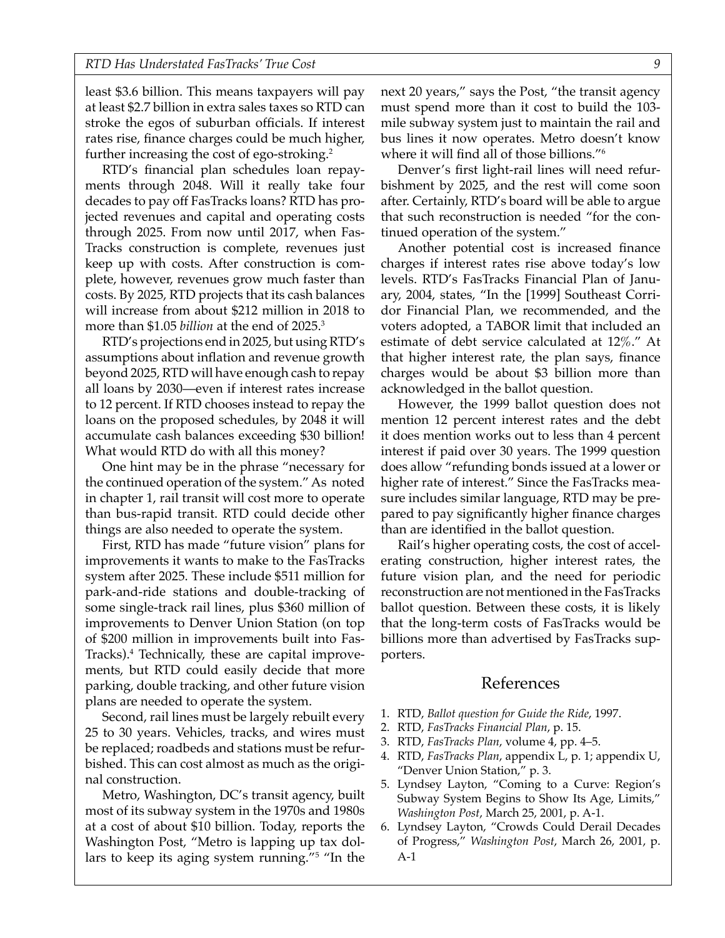least \$3.6 billion. This means taxpayers will pay at least \$2.7 billion in extra sales taxes so RTD can stroke the egos of suburban officials. If interest rates rise, finance charges could be much higher, further increasing the cost of ego-stroking.<sup>2</sup>

RTD's financial plan schedules loan repayments through 2048. Will it really take four decades to pay off FasTracks loans? RTD has projected revenues and capital and operating costs through 2025. From now until 2017, when Fas-Tracks construction is complete, revenues just keep up with costs. After construction is complete, however, revenues grow much faster than costs. By 2025, RTD projects that its cash balances will increase from about \$212 million in 2018 to more than \$1.05 *billion* at the end of 2025.3

RTD's projections end in 2025, but using RTD's assumptions about inflation and revenue growth beyond 2025, RTD will have enough cash to repay all loans by 2030—even if interest rates increase to 12 percent. If RTD chooses instead to repay the loans on the proposed schedules, by 2048 it will accumulate cash balances exceeding \$30 billion! What would RTD do with all this money?

One hint may be in the phrase "necessary for the continued operation of the system." As noted in chapter 1, rail transit will cost more to operate than bus-rapid transit. RTD could decide other things are also needed to operate the system.

First, RTD has made "future vision" plans for improvements it wants to make to the FasTracks system after 2025. These include \$511 million for park-and-ride stations and double-tracking of some single-track rail lines, plus \$360 million of improvements to Denver Union Station (on top of \$200 million in improvements built into Fas-Tracks).4 Technically, these are capital improvements, but RTD could easily decide that more parking, double tracking, and other future vision plans are needed to operate the system.

Second, rail lines must be largely rebuilt every 25 to 30 years. Vehicles, tracks, and wires must be replaced; roadbeds and stations must be refurbished. This can cost almost as much as the original construction.

Metro, Washington, DC's transit agency, built most of its subway system in the 1970s and 1980s at a cost of about \$10 billion. Today, reports the Washington Post, "Metro is lapping up tax dollars to keep its aging system running."5 "In the next 20 years," says the Post, "the transit agency must spend more than it cost to build the 103 mile subway system just to maintain the rail and bus lines it now operates. Metro doesn't know where it will find all of those billions."6

Denver's first light-rail lines will need refurbishment by 2025, and the rest will come soon after. Certainly, RTD's board will be able to argue that such reconstruction is needed "for the continued operation of the system."

Another potential cost is increased finance charges if interest rates rise above today's low levels. RTD's FasTracks Financial Plan of January, 2004, states, "In the [1999] Southeast Corridor Financial Plan, we recommended, and the voters adopted, a TABOR limit that included an estimate of debt service calculated at 12%." At that higher interest rate, the plan says, finance charges would be about \$3 billion more than acknowledged in the ballot question.

However, the 1999 ballot question does not mention 12 percent interest rates and the debt it does mention works out to less than 4 percent interest if paid over 30 years. The 1999 question does allow "refunding bonds issued at a lower or higher rate of interest." Since the FasTracks measure includes similar language, RTD may be prepared to pay significantly higher finance charges than are identified in the ballot question.

Rail's higher operating costs, the cost of accelerating construction, higher interest rates, the future vision plan, and the need for periodic reconstruction are not mentioned in the FasTracks ballot question. Between these costs, it is likely that the long-term costs of FasTracks would be billions more than advertised by FasTracks supporters.

- 1. RTD, *Ballot question for Guide the Ride*, 1997.
- 2. RTD, *FasTracks Financial Plan*, p. 15.
- 3. RTD, *FasTracks Plan*, volume 4, pp. 4–5.
- 4. RTD, *FasTracks Plan*, appendix L, p. 1; appendix U, "Denver Union Station," p. 3.
- 5. Lyndsey Layton, "Coming to a Curve: Region's Subway System Begins to Show Its Age, Limits," *Washington Post*, March 25, 2001, p. A-1.
- 6. Lyndsey Layton, "Crowds Could Derail Decades of Progress," *Washington Post*, March 26, 2001, p. A-1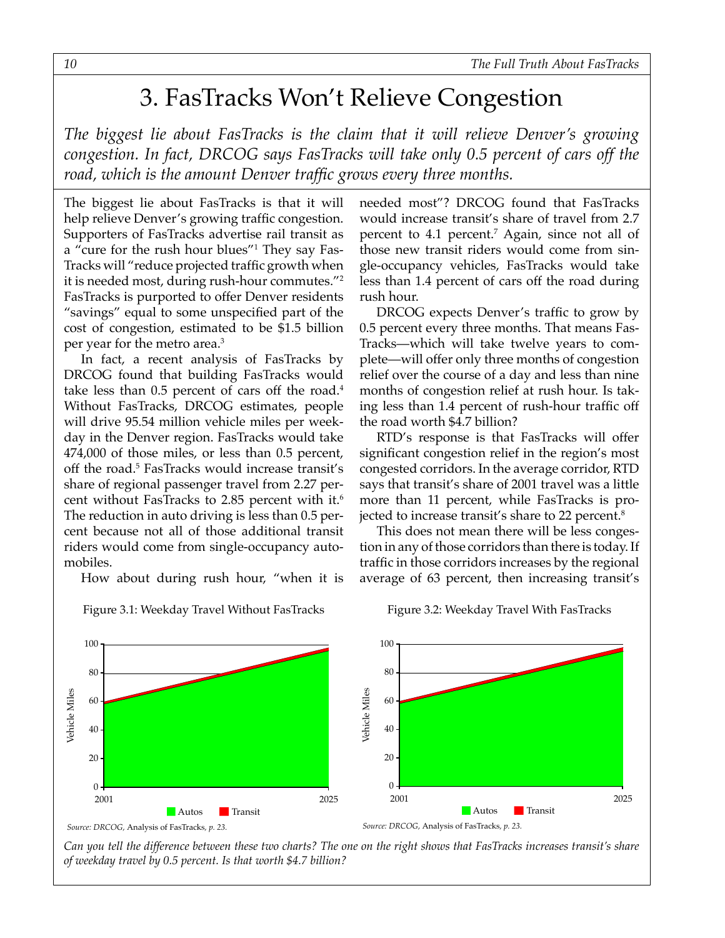### 3. FasTracks Won't Relieve Congestion

<span id="page-9-0"></span>*The biggest lie about FasTracks is the claim that it will relieve Denver's growing congestion. In fact, DRCOG says FasTracks will take only 0.5 percent of cars off the road, which is the amount Denver traffic grows every three months.* 

The biggest lie about FasTracks is that it will help relieve Denver's growing traffic congestion. Supporters of FasTracks advertise rail transit as a "cure for the rush hour blues"1 They say Fas-Tracks will "reduce projected traffic growth when it is needed most, during rush-hour commutes."2 FasTracks is purported to offer Denver residents "savings" equal to some unspecified part of the cost of congestion, estimated to be \$1.5 billion per year for the metro area.3

In fact, a recent analysis of FasTracks by DRCOG found that building FasTracks would take less than 0.5 percent of cars off the road.<sup>4</sup> Without FasTracks, DRCOG estimates, people will drive 95.54 million vehicle miles per weekday in the Denver region. FasTracks would take 474,000 of those miles, or less than 0.5 percent, off the road.<sup>5</sup> FasTracks would increase transit's share of regional passenger travel from 2.27 percent without FasTracks to 2.85 percent with it.<sup>6</sup> The reduction in auto driving is less than 0.5 percent because not all of those additional transit riders would come from single-occupancy automobiles.

How about during rush hour, "when it is



Figure 3.1: Weekday Travel Without FasTracks Figure 3.2: Weekday Travel With FasTracks

needed most"? DRCOG found that FasTracks would increase transit's share of travel from 2.7 percent to 4.1 percent.7 Again, since not all of those new transit riders would come from single-occupancy vehicles, FasTracks would take less than 1.4 percent of cars off the road during rush hour.

DRCOG expects Denver's traffic to grow by 0.5 percent every three months. That means Fas-Tracks—which will take twelve years to complete—will offer only three months of congestion relief over the course of a day and less than nine months of congestion relief at rush hour. Is taking less than 1.4 percent of rush-hour traffic off the road worth \$4.7 billion?

RTD's response is that FasTracks will offer significant congestion relief in the region's most congested corridors. In the average corridor, RTD says that transit's share of 2001 travel was a little more than 11 percent, while FasTracks is projected to increase transit's share to 22 percent.<sup>8</sup>

This does not mean there will be less congestion in any of those corridors than there is today. If traffic in those corridors increases by the regional average of 63 percent, then increasing transit's

Figure 3.2: Weekday Travel With FasTracks

*Can you tell the difference between these two charts? The one on the right shows that FasTracks increases transit's share of weekday travel by 0.5 percent. Is that worth \$4.7 billion?*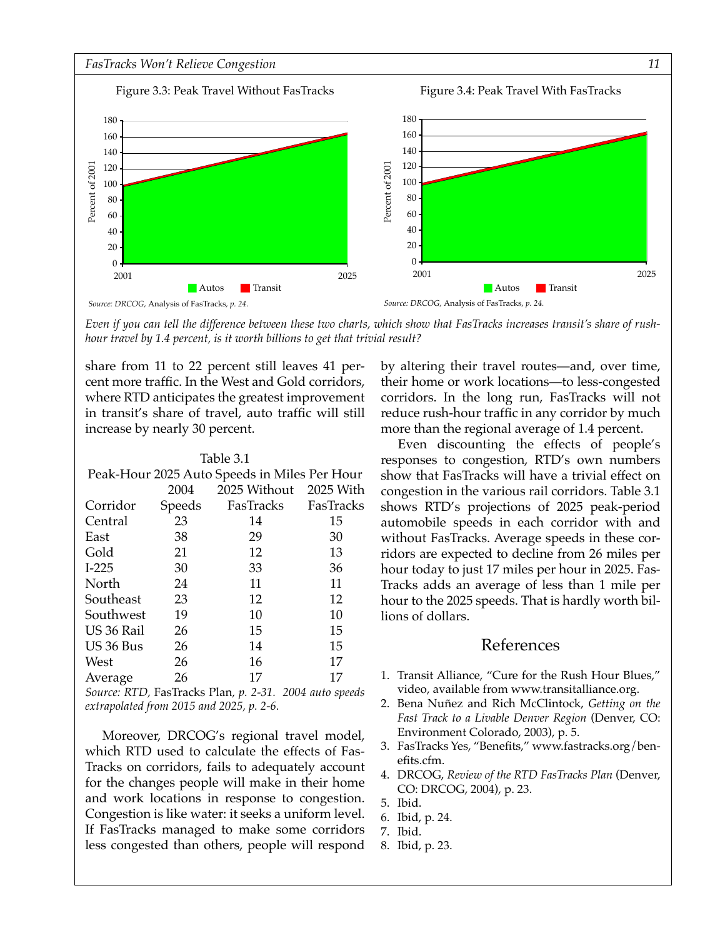

*Even if you can tell the difference between these two charts, which show that FasTracks increases transit's share of rushhour travel by 1.4 percent, is it worth billions to get that trivial result?*

share from 11 to 22 percent still leaves 41 percent more traffic. In the West and Gold corridors, where RTD anticipates the greatest improvement in transit's share of travel, auto traffic will still increase by nearly 30 percent.

| Table 3.1                                    |        |                     |    |  |  |  |  |
|----------------------------------------------|--------|---------------------|----|--|--|--|--|
| Peak-Hour 2025 Auto Speeds in Miles Per Hour |        |                     |    |  |  |  |  |
| 2025 Without 2025 With<br>2004               |        |                     |    |  |  |  |  |
| Corridor                                     | Speeds | FasTracks FasTracks |    |  |  |  |  |
| Central                                      | 23     | 14                  | 15 |  |  |  |  |
| East                                         | 38     | 29                  | 30 |  |  |  |  |
| Gold                                         | 21     | 12                  | 13 |  |  |  |  |
| $I-225$                                      | 30     | 33                  | 36 |  |  |  |  |
| North                                        | 24     | 11                  | 11 |  |  |  |  |
| Southeast                                    | 23     | 12                  | 12 |  |  |  |  |
| Southwest                                    | 19     | 10                  | 10 |  |  |  |  |
| US 36 Rail                                   | 26     | 15                  | 15 |  |  |  |  |
| US 36 Bus                                    | 26     | 14                  | 15 |  |  |  |  |
| West                                         | 26     | 16                  | 17 |  |  |  |  |
| Average                                      | 26     | 17                  | 17 |  |  |  |  |

*Source: RTD,* FasTracks Plan*, p. 2-31. 2004 auto speeds extrapolated from 2015 and 2025, p. 2-6.*

Moreover, DRCOG's regional travel model, which RTD used to calculate the effects of Fas-Tracks on corridors, fails to adequately account for the changes people will make in their home and work locations in response to congestion. Congestion is like water: it seeks a uniform level. If FasTracks managed to make some corridors less congested than others, people will respond by altering their travel routes—and, over time, their home or work locations—to less-congested corridors. In the long run, FasTracks will not reduce rush-hour traffic in any corridor by much more than the regional average of 1.4 percent.

Even discounting the effects of people's responses to congestion, RTD's own numbers show that FasTracks will have a trivial effect on congestion in the various rail corridors. Table 3.1 shows RTD's projections of 2025 peak-period automobile speeds in each corridor with and without FasTracks. Average speeds in these corridors are expected to decline from 26 miles per hour today to just 17 miles per hour in 2025. Fas-Tracks adds an average of less than 1 mile per hour to the 2025 speeds. That is hardly worth billions of dollars.

- 1. Transit Alliance, "Cure for the Rush Hour Blues," video, available from www.transitalliance.org.
- 2. Bena Nuñez and Rich McClintock, *Getting on the Fast Track to a Livable Denver Region* (Denver, CO: Environment Colorado, 2003), p. 5.
- 3. FasTracks Yes, "Benefits," www.fastracks.org/benefits.cfm.
- 4. DRCOG, *Review of the RTD FasTracks Plan* (Denver, CO: DRCOG, 2004), p. 23.
- 5. Ibid.
- 6. Ibid, p. 24.
- 7. Ibid.
- 8. Ibid, p. 23.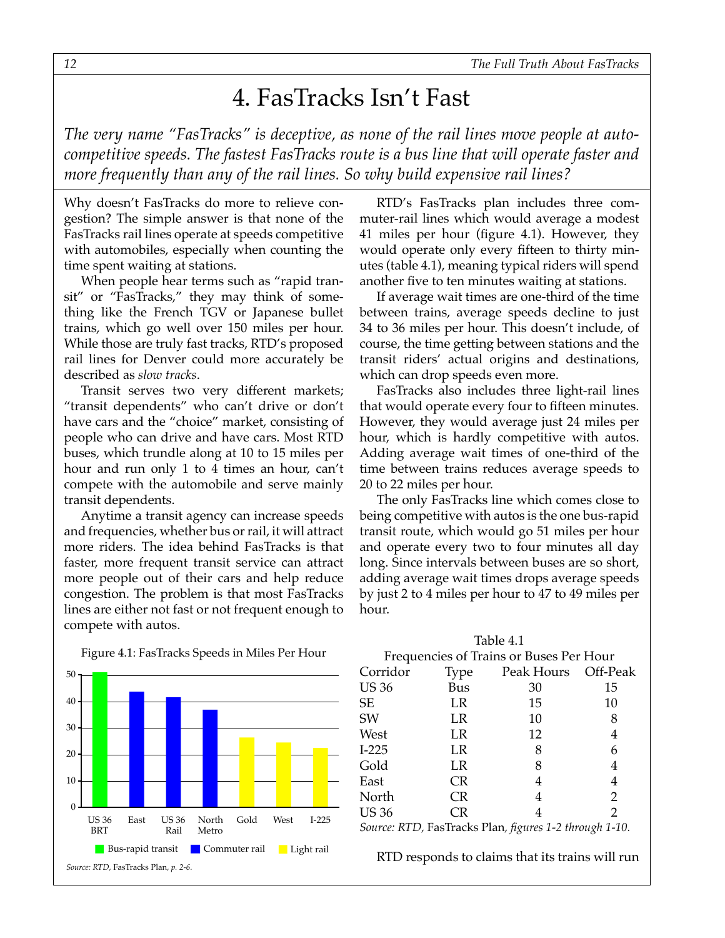### 4. FasTracks Isn't Fast

<span id="page-11-0"></span>*The very name "FasTracks" is deceptive, as none of the rail lines move people at autocompetitive speeds. The fastest FasTracks route is a bus line that will operate faster and more frequently than any of the rail lines. So why build expensive rail lines?*

Why doesn't FasTracks do more to relieve congestion? The simple answer is that none of the FasTracks rail lines operate at speeds competitive with automobiles, especially when counting the time spent waiting at stations.

When people hear terms such as "rapid transit" or "FasTracks," they may think of something like the French TGV or Japanese bullet trains, which go well over 150 miles per hour. While those are truly fast tracks, RTD's proposed rail lines for Denver could more accurately be described as *slow tracks*.

Transit serves two very different markets; "transit dependents" who can't drive or don't have cars and the "choice" market, consisting of people who can drive and have cars. Most RTD buses, which trundle along at 10 to 15 miles per hour and run only 1 to 4 times an hour, can't compete with the automobile and serve mainly transit dependents.

Anytime a transit agency can increase speeds and frequencies, whether bus or rail, it will attract more riders. The idea behind FasTracks is that faster, more frequent transit service can attract more people out of their cars and help reduce congestion. The problem is that most FasTracks lines are either not fast or not frequent enough to compete with autos.



#### Figure 4.1: FasTracks Speeds in Miles Per Hour

RTD's FasTracks plan includes three commuter-rail lines which would average a modest 41 miles per hour (figure 4.1). However, they would operate only every fifteen to thirty minutes (table 4.1), meaning typical riders will spend another five to ten minutes waiting at stations.

If average wait times are one-third of the time between trains, average speeds decline to just 34 to 36 miles per hour. This doesn't include, of course, the time getting between stations and the transit riders' actual origins and destinations, which can drop speeds even more.

FasTracks also includes three light-rail lines that would operate every four to fifteen minutes. However, they would average just 24 miles per hour, which is hardly competitive with autos. Adding average wait times of one-third of the time between trains reduces average speeds to 20 to 22 miles per hour.

The only FasTracks line which comes close to being competitive with autos is the one bus-rapid transit route, which would go 51 miles per hour and operate every two to four minutes all day long. Since intervals between buses are so short, adding average wait times drops average speeds by just 2 to 4 miles per hour to 47 to 49 miles per hour.

|                                         |           | Table 4.1                                             |               |  |  |
|-----------------------------------------|-----------|-------------------------------------------------------|---------------|--|--|
| Frequencies of Trains or Buses Per Hour |           |                                                       |               |  |  |
| Corridor                                | Type      | Peak Hours Off-Peak                                   |               |  |  |
| <b>US 36</b>                            | Bus       | 30                                                    | 15            |  |  |
| <b>SE</b>                               | LR        | 15                                                    | 10            |  |  |
| SW                                      | LR        | 10                                                    | 8             |  |  |
| West                                    | LR        | 12                                                    | 4             |  |  |
| $I-225$                                 | LR        | 8                                                     | 6             |  |  |
| Gold                                    | LR        | 8                                                     | 4             |  |  |
| East                                    | <b>CR</b> | 4                                                     | 4             |  |  |
| North                                   | <b>CR</b> | 4                                                     | 2             |  |  |
| <b>US 36</b>                            | CR        | 4                                                     | $\mathcal{P}$ |  |  |
|                                         |           | Source: RTD, FasTracks Plan, figures 1-2 through 1-10 |               |  |  |

*Source: RTD,* FasTracks Plan*, figures 1-2 through 1-10.*

RTD responds to claims that its trains will run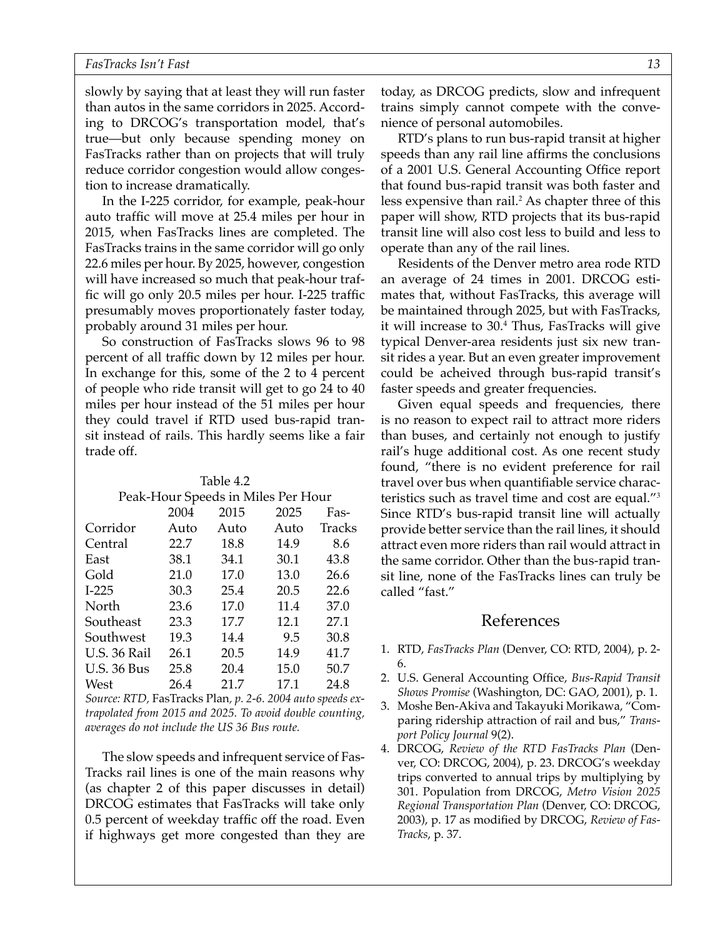slowly by saying that at least they will run faster than autos in the same corridors in 2025. According to DRCOG's transportation model, that's true—but only because spending money on FasTracks rather than on projects that will truly reduce corridor congestion would allow congestion to increase dramatically.

In the I-225 corridor, for example, peak-hour auto traffic will move at 25.4 miles per hour in 2015, when FasTracks lines are completed. The FasTracks trains in the same corridor will go only 22.6 miles per hour. By 2025, however, congestion will have increased so much that peak-hour traffic will go only 20.5 miles per hour. I-225 traffic presumably moves proportionately faster today, probably around 31 miles per hour.

So construction of FasTracks slows 96 to 98 percent of all traffic down by 12 miles per hour. In exchange for this, some of the 2 to 4 percent of people who ride transit will get to go 24 to 40 miles per hour instead of the 51 miles per hour they could travel if RTD used bus-rapid transit instead of rails. This hardly seems like a fair trade off.

Table 4.2

| Peak-Hour Speeds in Miles Per Hour |      |      |      |        |  |
|------------------------------------|------|------|------|--------|--|
|                                    | 2004 | 2015 | 2025 | Fas-   |  |
| Corridor                           | Auto | Auto | Auto | Tracks |  |
| Central                            | 22.7 | 18.8 | 14.9 | 8.6    |  |
| East                               | 38.1 | 34.1 | 30.1 | 43.8   |  |
| Gold                               | 21.0 | 17.0 | 13.0 | 26.6   |  |
| $I-225$                            | 30.3 | 25.4 | 20.5 | 22.6   |  |
| North                              | 23.6 | 17.0 | 11.4 | 37.0   |  |
| Southeast                          | 23.3 | 17.7 | 12.1 | 27.1   |  |
| Southwest                          | 19.3 | 14.4 | 9.5  | 30.8   |  |
| <b>U.S. 36 Rail</b>                | 26.1 | 20.5 | 14.9 | 41.7   |  |
| <b>U.S. 36 Bus</b>                 | 25.8 | 20.4 | 15.0 | 50.7   |  |
| West                               | 26.4 | 21.7 | 17.1 | 24.8   |  |
|                                    |      |      |      |        |  |

*Source: RTD,* FasTracks Plan*, p. 2-6. 2004 auto speeds extrapolated from 2015 and 2025. To avoid double counting, averages do not include the US 36 Bus route.*

The slow speeds and infrequent service of Fas-Tracks rail lines is one of the main reasons why (as chapter 2 of this paper discusses in detail) DRCOG estimates that FasTracks will take only 0.5 percent of weekday traffic off the road. Even if highways get more congested than they are

today, as DRCOG predicts, slow and infrequent trains simply cannot compete with the convenience of personal automobiles.

RTD's plans to run bus-rapid transit at higher speeds than any rail line affirms the conclusions of a 2001 U.S. General Accounting Office report that found bus-rapid transit was both faster and less expensive than rail.<sup>2</sup> As chapter three of this paper will show, RTD projects that its bus-rapid transit line will also cost less to build and less to operate than any of the rail lines.

Residents of the Denver metro area rode RTD an average of 24 times in 2001. DRCOG estimates that, without FasTracks, this average will be maintained through 2025, but with FasTracks, it will increase to 30.4 Thus, FasTracks will give typical Denver-area residents just six new transit rides a year. But an even greater improvement could be acheived through bus-rapid transit's faster speeds and greater frequencies.

Given equal speeds and frequencies, there is no reason to expect rail to attract more riders than buses, and certainly not enough to justify rail's huge additional cost. As one recent study found, "there is no evident preference for rail travel over bus when quantifiable service characteristics such as travel time and cost are equal."<sup>3</sup> Since RTD's bus-rapid transit line will actually provide better service than the rail lines, it should attract even more riders than rail would attract in the same corridor. Other than the bus-rapid transit line, none of the FasTracks lines can truly be called "fast."

- 1. RTD, *FasTracks Plan* (Denver, CO: RTD, 2004), p. 2- 6.
- 2. U.S. General Accounting Office, *Bus-Rapid Transit Shows Promise* (Washington, DC: GAO, 2001), p. 1.
- 3. Moshe Ben-Akiva and Takayuki Morikawa, "Comparing ridership attraction of rail and bus," *Transport Policy Journal* 9(2).
- 4. DRCOG, *Review of the RTD FasTracks Plan* (Denver, CO: DRCOG, 2004), p. 23. DRCOG's weekday trips converted to annual trips by multiplying by 301. Population from DRCOG, *Metro Vision 2025 Regional Transportation Plan* (Denver, CO: DRCOG, 2003), p. 17 as modified by DRCOG, *Review of Fas-Tracks*, p. 37.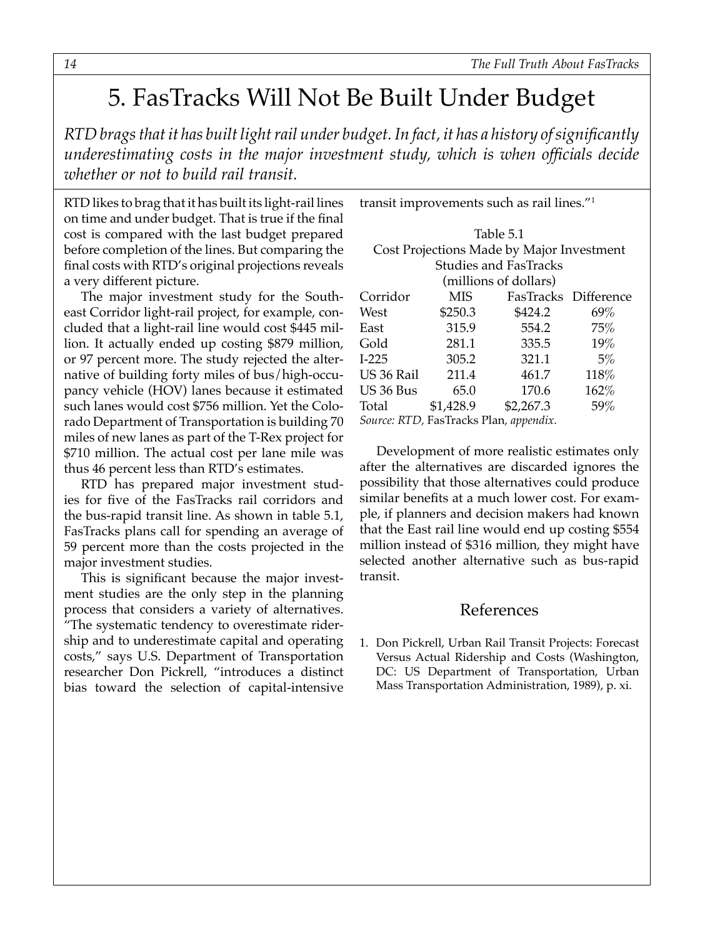## <span id="page-13-0"></span>5. FasTracks Will Not Be Built Under Budget

*RTD brags that it has built light rail under budget. In fact, it has a history of significantly underestimating costs in the major investment study, which is when officials decide whether or not to build rail transit.*

RTD likes to brag that it has built its light-rail lines on time and under budget. That is true if the final cost is compared with the last budget prepared before completion of the lines. But comparing the final costs with RTD's original projections reveals a very different picture.

The major investment study for the Southeast Corridor light-rail project, for example, concluded that a light-rail line would cost \$445 million. It actually ended up costing \$879 million, or 97 percent more. The study rejected the alternative of building forty miles of bus/high-occupancy vehicle (HOV) lanes because it estimated such lanes would cost \$756 million. Yet the Colorado Department of Transportation is building 70 miles of new lanes as part of the T-Rex project for \$710 million. The actual cost per lane mile was thus 46 percent less than RTD's estimates.

RTD has prepared major investment studies for five of the FasTracks rail corridors and the bus-rapid transit line. As shown in table 5.1, FasTracks plans call for spending an average of 59 percent more than the costs projected in the major investment studies.

This is significant because the major investment studies are the only step in the planning process that considers a variety of alternatives. "The systematic tendency to overestimate ridership and to underestimate capital and operating costs," says U.S. Department of Transportation researcher Don Pickrell, "introduces a distinct bias toward the selection of capital-intensive

| Table 5.1                                 |           |                              |                      |  |  |
|-------------------------------------------|-----------|------------------------------|----------------------|--|--|
| Cost Projections Made by Major Investment |           |                              |                      |  |  |
|                                           |           | <b>Studies and FasTracks</b> |                      |  |  |
|                                           |           | (millions of dollars)        |                      |  |  |
| Corridor                                  | MIS       |                              | FasTracks Difference |  |  |
| West                                      | \$250.3   | \$424.2                      | 69%                  |  |  |
| East                                      | 315.9     | 554.2                        | 75%                  |  |  |
| Gold                                      | 281.1     | 335.5                        | 19%                  |  |  |
| $I-225$                                   | 305.2     | 321.1                        | 5%                   |  |  |
| US 36 Rail                                | 211.4     | 461.7                        | 118%                 |  |  |
| US 36 Bus                                 | 65.0      | 170.6                        | 162%                 |  |  |
| Total                                     | \$1,428.9 | \$2,267.3                    | 59%                  |  |  |
| Source: RTD, FasTracks Plan, appendix.    |           |                              |                      |  |  |

transit improvements such as rail lines."1

Development of more realistic estimates only after the alternatives are discarded ignores the possibility that those alternatives could produce similar benefits at a much lower cost. For example, if planners and decision makers had known that the East rail line would end up costing \$554 million instead of \$316 million, they might have selected another alternative such as bus-rapid transit.

#### References

1. Don Pickrell, Urban Rail Transit Projects: Forecast Versus Actual Ridership and Costs (Washington, DC: US Department of Transportation, Urban Mass Transportation Administration, 1989), p. xi.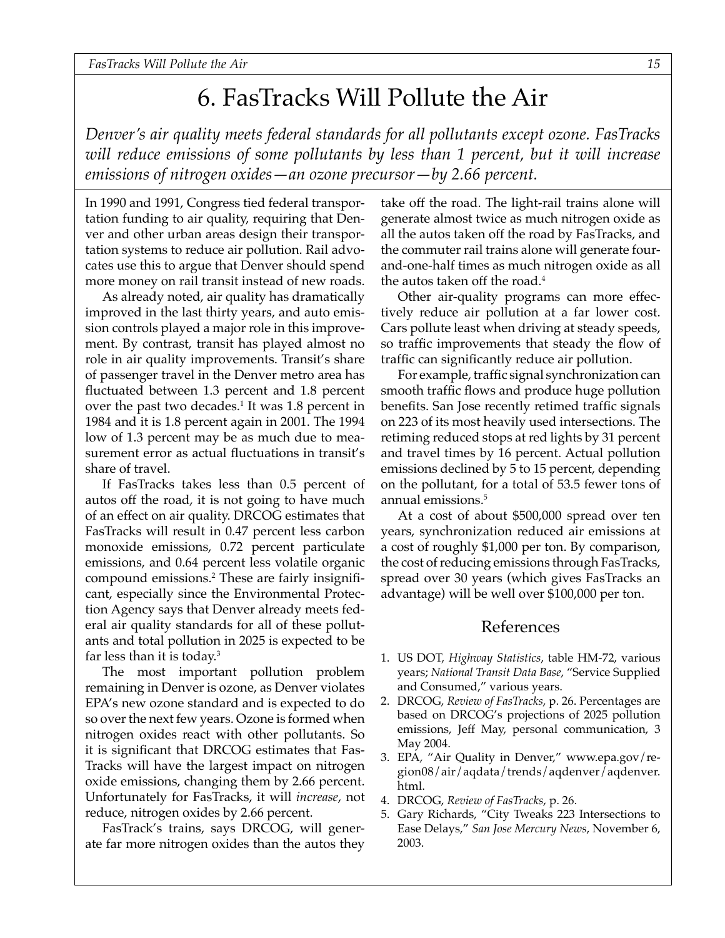## 6. FasTracks Will Pollute the Air

<span id="page-14-0"></span>*Denver's air quality meets federal standards for all pollutants except ozone. FasTracks will reduce emissions of some pollutants by less than 1 percent, but it will increase emissions of nitrogen oxides—an ozone precursor—by 2.66 percent.*

In 1990 and 1991, Congress tied federal transportation funding to air quality, requiring that Denver and other urban areas design their transportation systems to reduce air pollution. Rail advocates use this to argue that Denver should spend more money on rail transit instead of new roads.

As already noted, air quality has dramatically improved in the last thirty years, and auto emission controls played a major role in this improvement. By contrast, transit has played almost no role in air quality improvements. Transit's share of passenger travel in the Denver metro area has fluctuated between 1.3 percent and 1.8 percent over the past two decades.<sup>1</sup> It was 1.8 percent in 1984 and it is 1.8 percent again in 2001. The 1994 low of 1.3 percent may be as much due to measurement error as actual fluctuations in transit's share of travel.

If FasTracks takes less than 0.5 percent of autos off the road, it is not going to have much of an effect on air quality. DRCOG estimates that FasTracks will result in 0.47 percent less carbon monoxide emissions, 0.72 percent particulate emissions, and 0.64 percent less volatile organic compound emissions.2 These are fairly insignificant, especially since the Environmental Protection Agency says that Denver already meets federal air quality standards for all of these pollutants and total pollution in 2025 is expected to be far less than it is today.3

The most important pollution problem remaining in Denver is ozone, as Denver violates EPA's new ozone standard and is expected to do so over the next few years. Ozone is formed when nitrogen oxides react with other pollutants. So it is significant that DRCOG estimates that Fas-Tracks will have the largest impact on nitrogen oxide emissions, changing them by 2.66 percent. Unfortunately for FasTracks, it will *increase*, not reduce, nitrogen oxides by 2.66 percent.

FasTrack's trains, says DRCOG, will generate far more nitrogen oxides than the autos they take off the road. The light-rail trains alone will generate almost twice as much nitrogen oxide as all the autos taken off the road by FasTracks, and the commuter rail trains alone will generate fourand-one-half times as much nitrogen oxide as all the autos taken off the road.<sup>4</sup>

Other air-quality programs can more effectively reduce air pollution at a far lower cost. Cars pollute least when driving at steady speeds, so traffic improvements that steady the flow of traffic can significantly reduce air pollution.

For example, traffic signal synchronization can smooth traffic flows and produce huge pollution benefits. San Jose recently retimed traffic signals on 223 of its most heavily used intersections. The retiming reduced stops at red lights by 31 percent and travel times by 16 percent. Actual pollution emissions declined by 5 to 15 percent, depending on the pollutant, for a total of 53.5 fewer tons of annual emissions.5

At a cost of about \$500,000 spread over ten years, synchronization reduced air emissions at a cost of roughly \$1,000 per ton. By comparison, the cost of reducing emissions through FasTracks, spread over 30 years (which gives FasTracks an advantage) will be well over \$100,000 per ton.

- 1. US DOT, *Highway Statistics*, table HM-72, various years; *National Transit Data Base*, "Service Supplied and Consumed," various years.
- 2. DRCOG, *Review of FasTracks*, p. 26. Percentages are based on DRCOG's projections of 2025 pollution emissions, Jeff May, personal communication, 3 May 2004.
- 3. EPA, "Air Quality in Denver," www.epa.gov/region08/air/aqdata/trends/aqdenver/aqdenver. html.
- 4. DRCOG, *Review of FasTracks*, p. 26.
- 5. Gary Richards, "City Tweaks 223 Intersections to Ease Delays," *San Jose Mercury News*, November 6, 2003.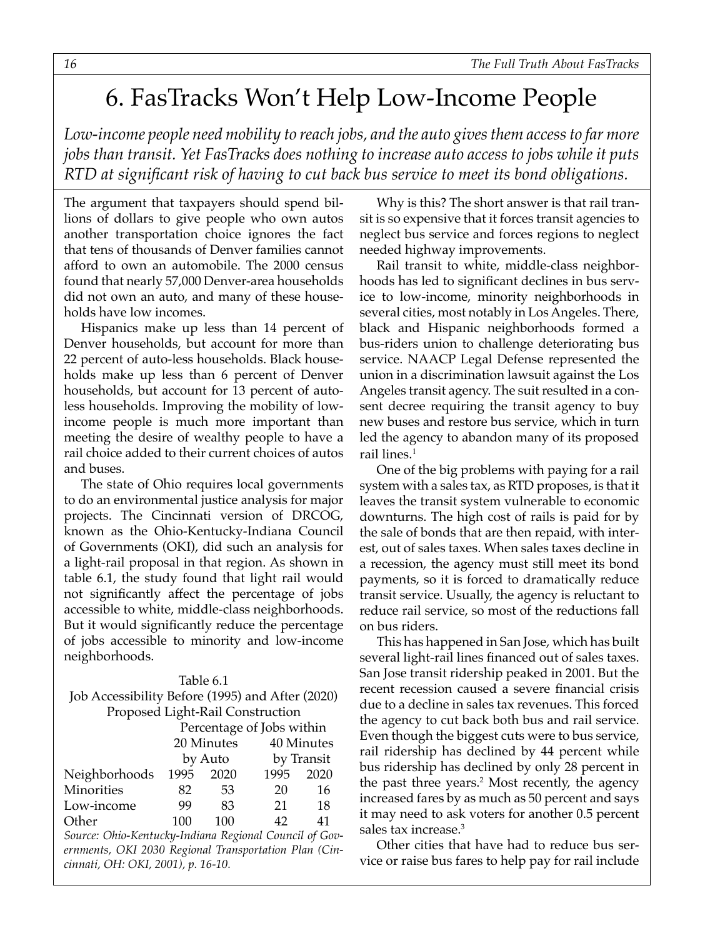## <span id="page-15-0"></span>6. FasTracks Won't Help Low-Income People

*Low-income people need mobility to reach jobs, and the auto gives them access to far more jobs than transit. Yet FasTracks does nothing to increase auto access to jobs while it puts RTD at significant risk of having to cut back bus service to meet its bond obligations.*

The argument that taxpayers should spend billions of dollars to give people who own autos another transportation choice ignores the fact that tens of thousands of Denver families cannot afford to own an automobile. The 2000 census found that nearly 57,000 Denver-area households did not own an auto, and many of these households have low incomes.

Hispanics make up less than 14 percent of Denver households, but account for more than 22 percent of auto-less households. Black households make up less than 6 percent of Denver households, but account for 13 percent of autoless households. Improving the mobility of lowincome people is much more important than meeting the desire of wealthy people to have a rail choice added to their current choices of autos and buses.

The state of Ohio requires local governments to do an environmental justice analysis for major projects. The Cincinnati version of DRCOG, known as the Ohio-Kentucky-Indiana Council of Governments (OKI), did such an analysis for a light-rail proposal in that region. As shown in table 6.1, the study found that light rail would not significantly affect the percentage of jobs accessible to white, middle-class neighborhoods. But it would significantly reduce the percentage of jobs accessible to minority and low-income neighborhoods.

#### Table 6.1

#### Job Accessibility Before (1995) and After (2020) Proposed Light-Rail Construction

|               | Percentage of Jobs within |      |      |            |  |
|---------------|---------------------------|------|------|------------|--|
|               | 20 Minutes                |      |      | 40 Minutes |  |
|               | by Auto                   |      |      | by Transit |  |
| Neighborhoods | 1995                      | 2020 | 1995 | 2020       |  |
| Minorities    | 82                        | 53   | 20   | 16         |  |
| Low-income    | 99                        | 83   | 21   | 18         |  |
| Other         | 100                       | 100  | 42   | 41         |  |
|               |                           |      |      |            |  |

*Source: Ohio-Kentucky-Indiana Regional Council of Governments, OKI 2030 Regional Transportation Plan (Cincinnati, OH: OKI, 2001), p. 16-10.*

Why is this? The short answer is that rail transit is so expensive that it forces transit agencies to neglect bus service and forces regions to neglect needed highway improvements.

Rail transit to white, middle-class neighborhoods has led to significant declines in bus service to low-income, minority neighborhoods in several cities, most notably in Los Angeles. There, black and Hispanic neighborhoods formed a bus-riders union to challenge deteriorating bus service. NAACP Legal Defense represented the union in a discrimination lawsuit against the Los Angeles transit agency. The suit resulted in a consent decree requiring the transit agency to buy new buses and restore bus service, which in turn led the agency to abandon many of its proposed rail lines.<sup>1</sup>

One of the big problems with paying for a rail system with a sales tax, as RTD proposes, is that it leaves the transit system vulnerable to economic downturns. The high cost of rails is paid for by the sale of bonds that are then repaid, with interest, out of sales taxes. When sales taxes decline in a recession, the agency must still meet its bond payments, so it is forced to dramatically reduce transit service. Usually, the agency is reluctant to reduce rail service, so most of the reductions fall on bus riders.

This has happened in San Jose, which has built several light-rail lines financed out of sales taxes. San Jose transit ridership peaked in 2001. But the recent recession caused a severe financial crisis due to a decline in sales tax revenues. This forced the agency to cut back both bus and rail service. Even though the biggest cuts were to bus service, rail ridership has declined by 44 percent while bus ridership has declined by only 28 percent in the past three years.2 Most recently, the agency increased fares by as much as 50 percent and says it may need to ask voters for another 0.5 percent sales tax increase.<sup>3</sup>

Other cities that have had to reduce bus service or raise bus fares to help pay for rail include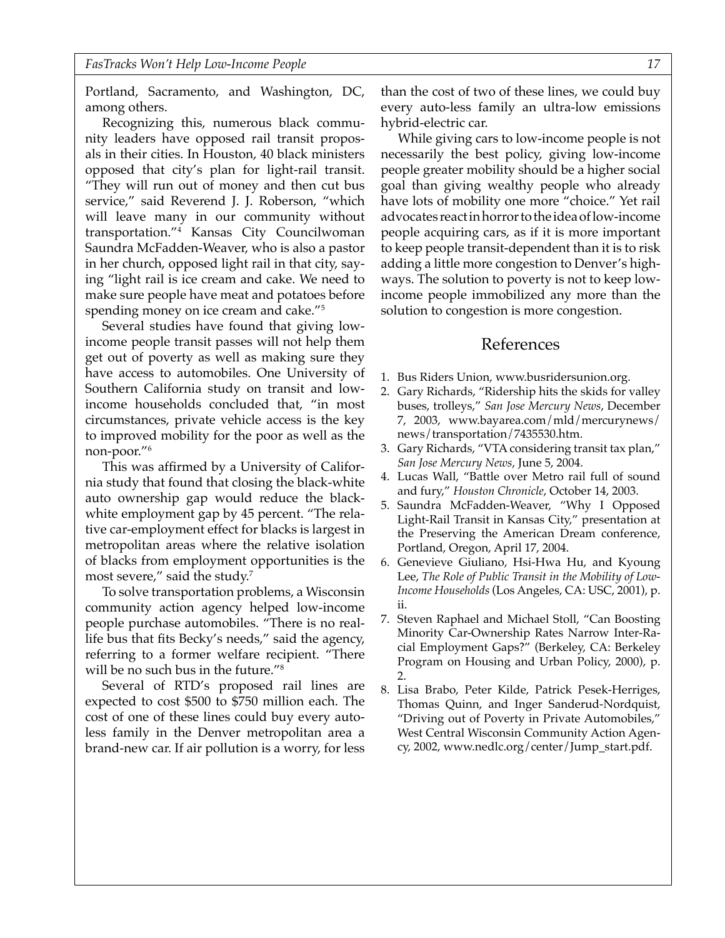Portland, Sacramento, and Washington, DC, among others.

Recognizing this, numerous black community leaders have opposed rail transit proposals in their cities. In Houston, 40 black ministers opposed that city's plan for light-rail transit. "They will run out of money and then cut bus service," said Reverend J. J. Roberson, "which will leave many in our community without transportation."4 Kansas City Councilwoman Saundra McFadden-Weaver, who is also a pastor in her church, opposed light rail in that city, saying "light rail is ice cream and cake. We need to make sure people have meat and potatoes before spending money on ice cream and cake."5

Several studies have found that giving lowincome people transit passes will not help them get out of poverty as well as making sure they have access to automobiles. One University of Southern California study on transit and lowincome households concluded that, "in most circumstances, private vehicle access is the key to improved mobility for the poor as well as the non-poor."6

This was affirmed by a University of California study that found that closing the black-white auto ownership gap would reduce the blackwhite employment gap by 45 percent. "The relative car-employment effect for blacks is largest in metropolitan areas where the relative isolation of blacks from employment opportunities is the most severe," said the study.7

To solve transportation problems, a Wisconsin community action agency helped low-income people purchase automobiles. "There is no reallife bus that fits Becky's needs," said the agency, referring to a former welfare recipient. "There will be no such bus in the future."8

Several of RTD's proposed rail lines are expected to cost \$500 to \$750 million each. The cost of one of these lines could buy every autoless family in the Denver metropolitan area a brand-new car. If air pollution is a worry, for less

than the cost of two of these lines, we could buy every auto-less family an ultra-low emissions hybrid-electric car.

While giving cars to low-income people is not necessarily the best policy, giving low-income people greater mobility should be a higher social goal than giving wealthy people who already have lots of mobility one more "choice." Yet rail advocates react in horror to the idea of low-income people acquiring cars, as if it is more important to keep people transit-dependent than it is to risk adding a little more congestion to Denver's highways. The solution to poverty is not to keep lowincome people immobilized any more than the solution to congestion is more congestion.

- 1. Bus Riders Union, www.busridersunion.org.
- 2. Gary Richards, "Ridership hits the skids for valley buses, trolleys," *San Jose Mercury News*, December 7, 2003, www.bayarea.com/mld/mercurynews/ news/transportation/7435530.htm.
- 3. Gary Richards, "VTA considering transit tax plan," *San Jose Mercury News*, June 5, 2004.
- 4. Lucas Wall, "Battle over Metro rail full of sound and fury," *Houston Chronicle*, October 14, 2003.
- 5. Saundra McFadden-Weaver, "Why I Opposed Light-Rail Transit in Kansas City," presentation at the Preserving the American Dream conference, Portland, Oregon, April 17, 2004.
- 6. Genevieve Giuliano, Hsi-Hwa Hu, and Kyoung Lee, *The Role of Public Transit in the Mobility of Low-Income Households* (Los Angeles, CA: USC, 2001), p. ii.
- 7. Steven Raphael and Michael Stoll, "Can Boosting Minority Car-Ownership Rates Narrow Inter-Racial Employment Gaps?" (Berkeley, CA: Berkeley Program on Housing and Urban Policy, 2000), p. 2.
- 8. Lisa Brabo, Peter Kilde, Patrick Pesek-Herriges, Thomas Quinn, and Inger Sanderud-Nordquist, "Driving out of Poverty in Private Automobiles," West Central Wisconsin Community Action Agency, 2002, www.nedlc.org/center/Jump\_start.pdf.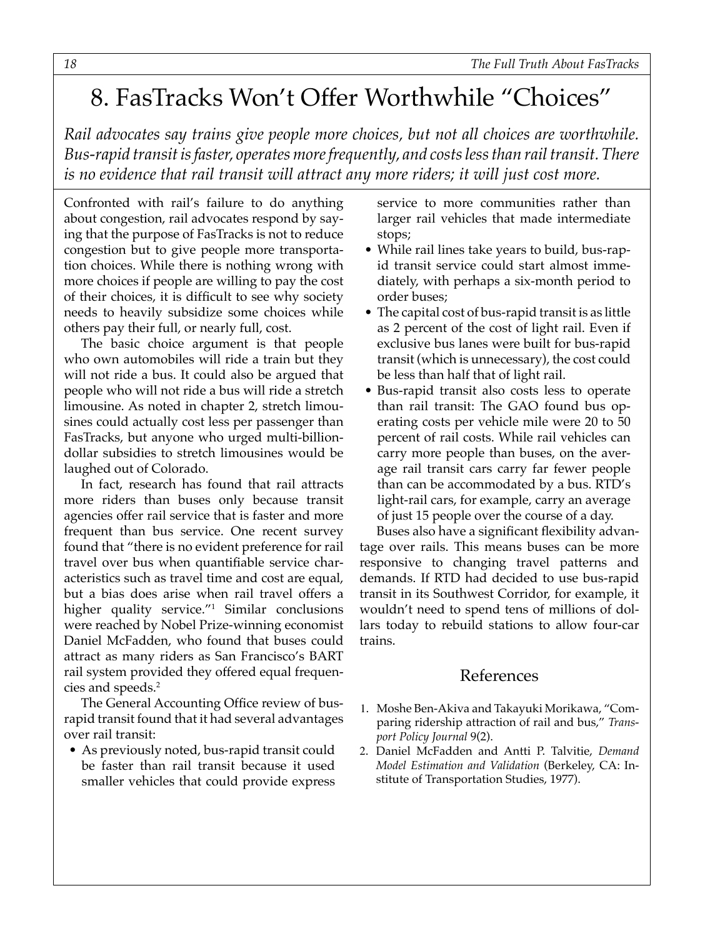## <span id="page-17-0"></span>8. FasTracks Won't Offer Worthwhile "Choices"

*Rail advocates say trains give people more choices, but not all choices are worthwhile. Bus-rapid transit is faster, operates more frequently, and costs less than rail transit. There is no evidence that rail transit will attract any more riders; it will just cost more.*

Confronted with rail's failure to do anything about congestion, rail advocates respond by saying that the purpose of FasTracks is not to reduce congestion but to give people more transportation choices. While there is nothing wrong with more choices if people are willing to pay the cost of their choices, it is difficult to see why society needs to heavily subsidize some choices while others pay their full, or nearly full, cost.

The basic choice argument is that people who own automobiles will ride a train but they will not ride a bus. It could also be argued that people who will not ride a bus will ride a stretch limousine. As noted in chapter 2, stretch limousines could actually cost less per passenger than FasTracks, but anyone who urged multi-billiondollar subsidies to stretch limousines would be laughed out of Colorado.

In fact, research has found that rail attracts more riders than buses only because transit agencies offer rail service that is faster and more frequent than bus service. One recent survey found that "there is no evident preference for rail travel over bus when quantifiable service characteristics such as travel time and cost are equal, but a bias does arise when rail travel offers a higher quality service."1 Similar conclusions were reached by Nobel Prize-winning economist Daniel McFadden, who found that buses could attract as many riders as San Francisco's BART rail system provided they offered equal frequencies and speeds.2

The General Accounting Office review of busrapid transit found that it had several advantages over rail transit:

 • As previously noted, bus-rapid transit could be faster than rail transit because it used smaller vehicles that could provide express

service to more communities rather than larger rail vehicles that made intermediate stops;

- While rail lines take years to build, bus-rapid transit service could start almost immediately, with perhaps a six-month period to order buses;
- The capital cost of bus-rapid transit is as little as 2 percent of the cost of light rail. Even if exclusive bus lanes were built for bus-rapid transit (which is unnecessary), the cost could be less than half that of light rail.
- Bus-rapid transit also costs less to operate than rail transit: The GAO found bus operating costs per vehicle mile were 20 to 50 percent of rail costs. While rail vehicles can carry more people than buses, on the average rail transit cars carry far fewer people than can be accommodated by a bus. RTD's light-rail cars, for example, carry an average of just 15 people over the course of a day.

Buses also have a significant flexibility advantage over rails. This means buses can be more responsive to changing travel patterns and demands. If RTD had decided to use bus-rapid transit in its Southwest Corridor, for example, it wouldn't need to spend tens of millions of dollars today to rebuild stations to allow four-car trains.

- 1. Moshe Ben-Akiva and Takayuki Morikawa, "Comparing ridership attraction of rail and bus," *Transport Policy Journal* 9(2).
- 2. Daniel McFadden and Antti P. Talvitie, *Demand Model Estimation and Validation* (Berkeley, CA: Institute of Transportation Studies, 1977).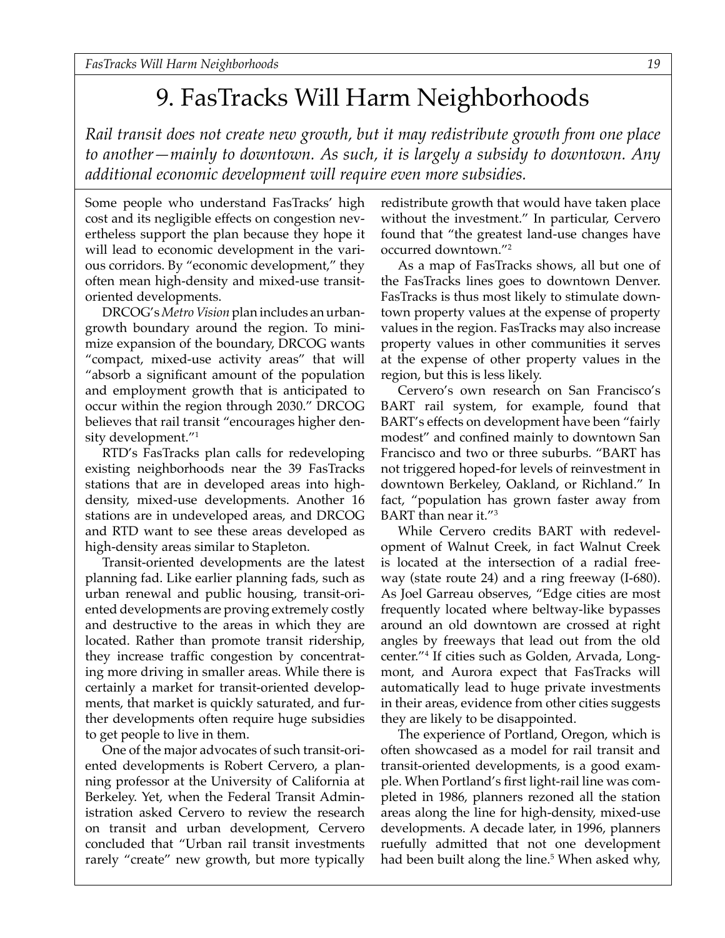## 9. FasTracks Will Harm Neighborhoods

<span id="page-18-0"></span>*Rail transit does not create new growth, but it may redistribute growth from one place to another—mainly to downtown. As such, it is largely a subsidy to downtown. Any additional economic development will require even more subsidies.*

Some people who understand FasTracks' high cost and its negligible effects on congestion nevertheless support the plan because they hope it will lead to economic development in the various corridors. By "economic development," they often mean high-density and mixed-use transitoriented developments.

DRCOG's *Metro Vision* plan includes an urbangrowth boundary around the region. To minimize expansion of the boundary, DRCOG wants "compact, mixed-use activity areas" that will "absorb a significant amount of the population and employment growth that is anticipated to occur within the region through 2030." DRCOG believes that rail transit "encourages higher density development."1

RTD's FasTracks plan calls for redeveloping existing neighborhoods near the 39 FasTracks stations that are in developed areas into highdensity, mixed-use developments. Another 16 stations are in undeveloped areas, and DRCOG and RTD want to see these areas developed as high-density areas similar to Stapleton.

Transit-oriented developments are the latest planning fad. Like earlier planning fads, such as urban renewal and public housing, transit-oriented developments are proving extremely costly and destructive to the areas in which they are located. Rather than promote transit ridership, they increase traffic congestion by concentrating more driving in smaller areas. While there is certainly a market for transit-oriented developments, that market is quickly saturated, and further developments often require huge subsidies to get people to live in them.

One of the major advocates of such transit-oriented developments is Robert Cervero, a planning professor at the University of California at Berkeley. Yet, when the Federal Transit Administration asked Cervero to review the research on transit and urban development, Cervero concluded that "Urban rail transit investments rarely "create" new growth, but more typically redistribute growth that would have taken place without the investment." In particular, Cervero found that "the greatest land-use changes have occurred downtown."2

As a map of FasTracks shows, all but one of the FasTracks lines goes to downtown Denver. FasTracks is thus most likely to stimulate downtown property values at the expense of property values in the region. FasTracks may also increase property values in other communities it serves at the expense of other property values in the region, but this is less likely.

Cervero's own research on San Francisco's BART rail system, for example, found that BART's effects on development have been "fairly modest" and confined mainly to downtown San Francisco and two or three suburbs. "BART has not triggered hoped-for levels of reinvestment in downtown Berkeley, Oakland, or Richland." In fact, "population has grown faster away from BART than near it."3

While Cervero credits BART with redevelopment of Walnut Creek, in fact Walnut Creek is located at the intersection of a radial freeway (state route 24) and a ring freeway (I-680). As Joel Garreau observes, "Edge cities are most frequently located where beltway-like bypasses around an old downtown are crossed at right angles by freeways that lead out from the old center."4 If cities such as Golden, Arvada, Longmont, and Aurora expect that FasTracks will automatically lead to huge private investments in their areas, evidence from other cities suggests they are likely to be disappointed.

The experience of Portland, Oregon, which is often showcased as a model for rail transit and transit-oriented developments, is a good example. When Portland's first light-rail line was completed in 1986, planners rezoned all the station areas along the line for high-density, mixed-use developments. A decade later, in 1996, planners ruefully admitted that not one development had been built along the line.<sup>5</sup> When asked why,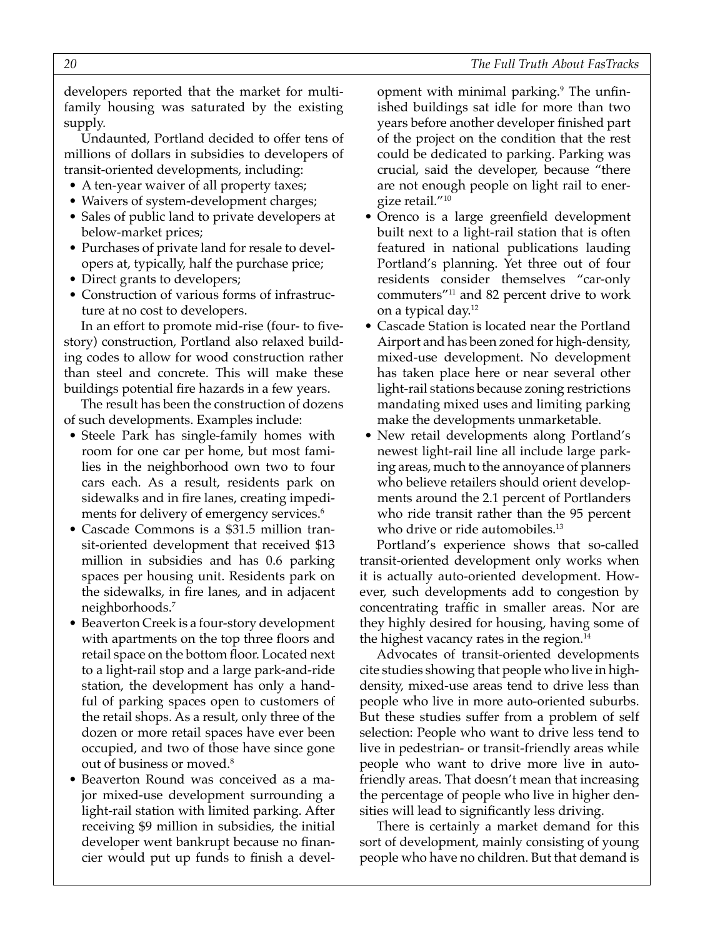developers reported that the market for multifamily housing was saturated by the existing supply.

Undaunted, Portland decided to offer tens of millions of dollars in subsidies to developers of transit-oriented developments, including:

- A ten-year waiver of all property taxes;
- Waivers of system-development charges;
- Sales of public land to private developers at below-market prices;
- Purchases of private land for resale to developers at, typically, half the purchase price;
- Direct grants to developers;
- Construction of various forms of infrastructure at no cost to developers.

In an effort to promote mid-rise (four- to fivestory) construction, Portland also relaxed building codes to allow for wood construction rather than steel and concrete. This will make these buildings potential fire hazards in a few years.

The result has been the construction of dozens of such developments. Examples include:

- Steele Park has single-family homes with room for one car per home, but most families in the neighborhood own two to four cars each. As a result, residents park on sidewalks and in fire lanes, creating impediments for delivery of emergency services.<sup>6</sup>
- Cascade Commons is a \$31.5 million transit-oriented development that received \$13 million in subsidies and has 0.6 parking spaces per housing unit. Residents park on the sidewalks, in fire lanes, and in adjacent neighborhoods.7
- Beaverton Creek is a four-story development with apartments on the top three floors and retail space on the bottom floor. Located next to a light-rail stop and a large park-and-ride station, the development has only a handful of parking spaces open to customers of the retail shops. As a result, only three of the dozen or more retail spaces have ever been occupied, and two of those have since gone out of business or moved.<sup>8</sup>
- Beaverton Round was conceived as a major mixed-use development surrounding a light-rail station with limited parking. After receiving \$9 million in subsidies, the initial developer went bankrupt because no financier would put up funds to finish a devel-

opment with minimal parking.<sup>9</sup> The unfinished buildings sat idle for more than two years before another developer finished part of the project on the condition that the rest could be dedicated to parking. Parking was crucial, said the developer, because "there are not enough people on light rail to energize retail."10

- Orenco is a large greenfield development built next to a light-rail station that is often featured in national publications lauding Portland's planning. Yet three out of four residents consider themselves "car-only commuters"11 and 82 percent drive to work on a typical day.12
- Cascade Station is located near the Portland Airport and has been zoned for high-density, mixed-use development. No development has taken place here or near several other light-rail stations because zoning restrictions mandating mixed uses and limiting parking make the developments unmarketable.
- New retail developments along Portland's newest light-rail line all include large parking areas, much to the annoyance of planners who believe retailers should orient developments around the 2.1 percent of Portlanders who ride transit rather than the 95 percent who drive or ride automobiles.<sup>13</sup>

Portland's experience shows that so-called transit-oriented development only works when it is actually auto-oriented development. However, such developments add to congestion by concentrating traffic in smaller areas. Nor are they highly desired for housing, having some of the highest vacancy rates in the region. $14$ 

Advocates of transit-oriented developments cite studies showing that people who live in highdensity, mixed-use areas tend to drive less than people who live in more auto-oriented suburbs. But these studies suffer from a problem of self selection: People who want to drive less tend to live in pedestrian- or transit-friendly areas while people who want to drive more live in autofriendly areas. That doesn't mean that increasing the percentage of people who live in higher densities will lead to significantly less driving.

There is certainly a market demand for this sort of development, mainly consisting of young people who have no children. But that demand is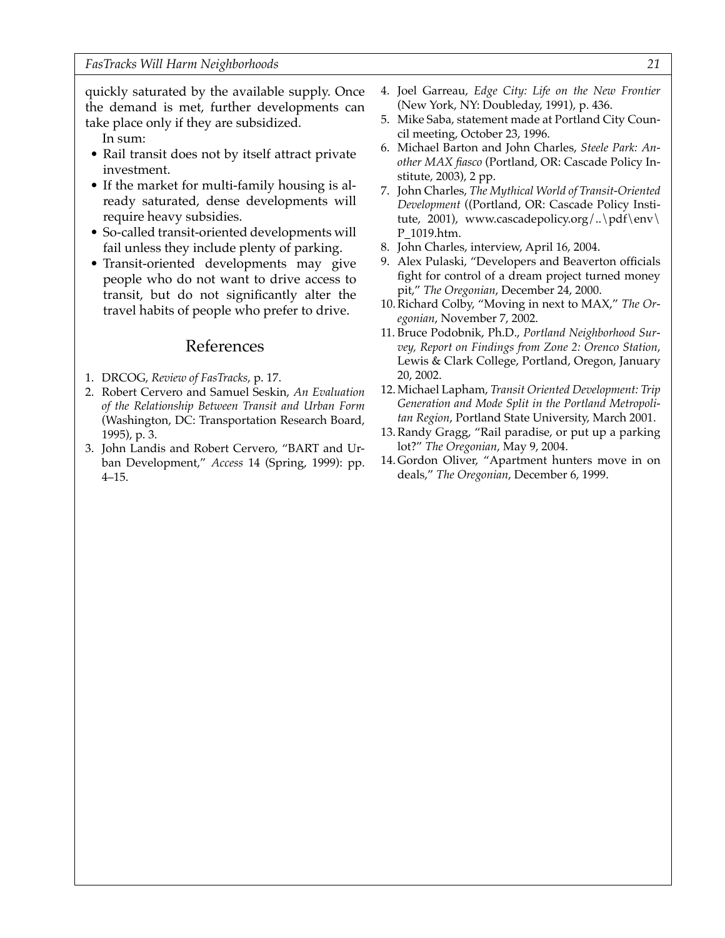quickly saturated by the available supply. Once the demand is met, further developments can take place only if they are subsidized.

In sum:

- Rail transit does not by itself attract private investment.
- If the market for multi-family housing is already saturated, dense developments will require heavy subsidies.
- So-called transit-oriented developments will fail unless they include plenty of parking.
- Transit-oriented developments may give people who do not want to drive access to transit, but do not significantly alter the travel habits of people who prefer to drive.

- 1. DRCOG, *Review of FasTracks*, p. 17.
- 2. Robert Cervero and Samuel Seskin, *An Evaluation of the Relationship Between Transit and Urban Form* (Washington, DC: Transportation Research Board, 1995), p. 3.
- 3. John Landis and Robert Cervero, "BART and Urban Development," *Access* 14 (Spring, 1999): pp. 4–15.
- 4. Joel Garreau, *Edge City: Life on the New Frontier* (New York, NY: Doubleday, 1991), p. 436.
- 5. Mike Saba, statement made at Portland City Council meeting, October 23, 1996.
- 6. Michael Barton and John Charles, *Steele Park: Another MAX fiasco* (Portland, OR: Cascade Policy Institute, 2003), 2 pp.
- 7. John Charles, *The Mythical World of Transit-Oriented Development* ((Portland, OR: Cascade Policy Institute, 2001), www.cascadepolicy.org/..\pdf\env\ P\_1019.htm.
- 8. John Charles, interview, April 16, 2004.
- 9. Alex Pulaski, "Developers and Beaverton officials fight for control of a dream project turned money pit," *The Oregonian*, December 24, 2000.
- 10. Richard Colby, "Moving in next to MAX," *The Oregonian*, November 7, 2002.
- 11. Bruce Podobnik, Ph.D., *Portland Neighborhood Survey, Report on Findings from Zone 2: Orenco Station*, Lewis & Clark College, Portland, Oregon, January 20, 2002.
- 12. Michael Lapham, *Transit Oriented Development: Trip Generation and Mode Split in the Portland Metropolitan Region*, Portland State University, March 2001.
- 13. Randy Gragg, "Rail paradise, or put up a parking lot?" *The Oregonian*, May 9, 2004.
- 14. Gordon Oliver, "Apartment hunters move in on deals," *The Oregonian*, December 6, 1999.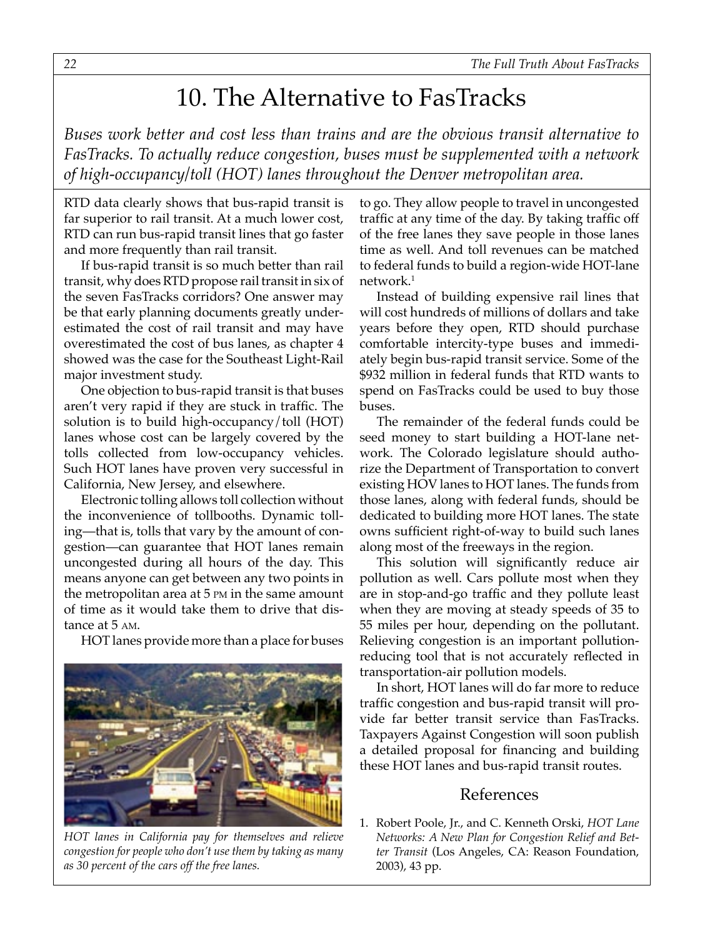## 10. The Alternative to FasTracks

<span id="page-21-0"></span>*Buses work better and cost less than trains and are the obvious transit alternative to FasTracks. To actually reduce congestion, buses must be supplemented with a network of high-occupancy/toll (HOT) lanes throughout the Denver metropolitan area.*

RTD data clearly shows that bus-rapid transit is far superior to rail transit. At a much lower cost, RTD can run bus-rapid transit lines that go faster and more frequently than rail transit.

If bus-rapid transit is so much better than rail transit, why does RTD propose rail transit in six of the seven FasTracks corridors? One answer may be that early planning documents greatly underestimated the cost of rail transit and may have overestimated the cost of bus lanes, as chapter 4 showed was the case for the Southeast Light-Rail major investment study.

One objection to bus-rapid transit is that buses aren't very rapid if they are stuck in traffic. The solution is to build high-occupancy/toll (HOT) lanes whose cost can be largely covered by the tolls collected from low-occupancy vehicles. Such HOT lanes have proven very successful in California, New Jersey, and elsewhere.

Electronic tolling allows toll collection without the inconvenience of tollbooths. Dynamic tolling—that is, tolls that vary by the amount of congestion—can guarantee that HOT lanes remain uncongested during all hours of the day. This means anyone can get between any two points in the metropolitan area at 5 PM in the same amount of time as it would take them to drive that distance at 5 AM.

HOT lanes provide more than a place for buses



*HOT lanes in California pay for themselves and relieve congestion for people who don't use them by taking as many as 30 percent of the cars off the free lanes.*

to go. They allow people to travel in uncongested traffic at any time of the day. By taking traffic off of the free lanes they save people in those lanes time as well. And toll revenues can be matched to federal funds to build a region-wide HOT-lane network.1

Instead of building expensive rail lines that will cost hundreds of millions of dollars and take years before they open, RTD should purchase comfortable intercity-type buses and immediately begin bus-rapid transit service. Some of the \$932 million in federal funds that RTD wants to spend on FasTracks could be used to buy those buses.

The remainder of the federal funds could be seed money to start building a HOT-lane network. The Colorado legislature should authorize the Department of Transportation to convert existing HOV lanes to HOT lanes. The funds from those lanes, along with federal funds, should be dedicated to building more HOT lanes. The state owns sufficient right-of-way to build such lanes along most of the freeways in the region.

This solution will significantly reduce air pollution as well. Cars pollute most when they are in stop-and-go traffic and they pollute least when they are moving at steady speeds of 35 to 55 miles per hour, depending on the pollutant. Relieving congestion is an important pollutionreducing tool that is not accurately reflected in transportation-air pollution models.

In short, HOT lanes will do far more to reduce traffic congestion and bus-rapid transit will provide far better transit service than FasTracks. Taxpayers Against Congestion will soon publish a detailed proposal for financing and building these HOT lanes and bus-rapid transit routes.

#### References

1. Robert Poole, Jr., and C. Kenneth Orski, *HOT Lane Networks: A New Plan for Congestion Relief and Better Transit* (Los Angeles, CA: Reason Foundation, 2003), 43 pp.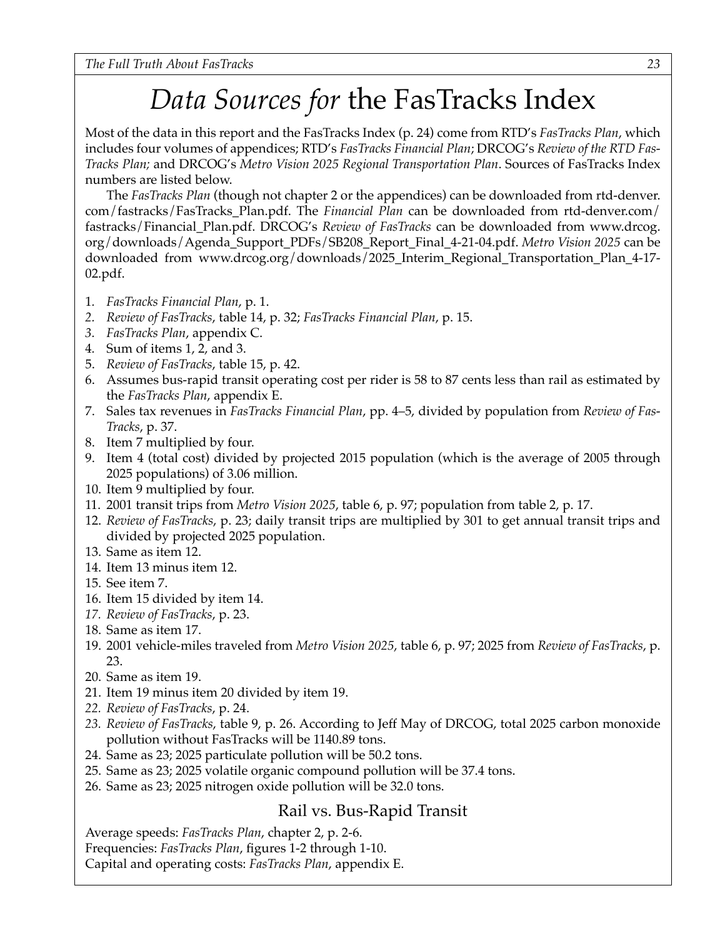# *Data Sources for* the FasTracks Index

Most of the data in this report and the FasTracks Index (p. 24) come from RTD's *FasTracks Plan*, which includes four volumes of appendices; RTD's *FasTracks Financial Plan*; DRCOG's *Review of the RTD Fas-Tracks Plan;* and DRCOG's *Metro Vision 2025 Regional Transportation Plan*. Sources of FasTracks Index numbers are listed below.

The *FasTracks Plan* (though not chapter 2 or the appendices) can be downloaded from rtd-denver. com/fastracks/FasTracks\_Plan.pdf. The *Financial Plan* can be downloaded from rtd-denver.com/ fastracks/Financial\_Plan.pdf. DRCOG's *Review of FasTracks* can be downloaded from www.drcog. org/downloads/Agenda\_Support\_PDFs/SB208\_Report\_Final\_4-21-04.pdf. *Metro Vision 2025* can be downloaded from www.drcog.org/downloads/2025\_Interim\_Regional\_Transportation\_Plan\_4-17- 02.pdf.

- 1*. FasTracks Financial Plan*, p. 1.
- *2. Review of FasTracks*, table 14, p. 32; *FasTracks Financial Plan*, p. 15.
- *3. FasTracks Plan*, appendix C.
- 4*.* Sum of items 1, 2, and 3.
- 5. *Review of FasTracks*, table 15, p. 42.
- 6. Assumes bus-rapid transit operating cost per rider is 58 to 87 cents less than rail as estimated by the *FasTracks Plan*, appendix E.
- 7. Sales tax revenues in *FasTracks Financial Plan*, pp. 4–5, divided by population from *Review of Fas-Tracks*, p. 37.
- 8. Item 7 multiplied by four.
- 9. Item 4 (total cost) divided by projected 2015 population (which is the average of 2005 through 2025 populations) of 3.06 million.
- 10. Item 9 multiplied by four.
- 11. 2001 transit trips from *Metro Vision 2025*, table 6, p. 97; population from table 2, p. 17.
- 12. *Review of FasTracks*, p. 23; daily transit trips are multiplied by 301 to get annual transit trips and divided by projected 2025 population.
- 13. Same as item 12.
- 14. Item 13 minus item 12.
- 15. See item 7.
- 16. Item 15 divided by item 14.
- *17. Review of FasTracks*, p. 23.
- 18. Same as item 17.
- 19. 2001 vehicle-miles traveled from *Metro Vision 2025*, table 6, p. 97; 2025 from *Review of FasTracks*, p. 23.
- 20. Same as item 19.
- 21. Item 19 minus item 20 divided by item 19.
- *22. Review of FasTracks*, p. 24.
- *23. Review of FasTracks*, table 9, p. 26. According to Jeff May of DRCOG, total 2025 carbon monoxide pollution without FasTracks will be 1140.89 tons.
- 24. Same as 23; 2025 particulate pollution will be 50.2 tons.
- 25. Same as 23; 2025 volatile organic compound pollution will be 37.4 tons.
- 26. Same as 23; 2025 nitrogen oxide pollution will be 32.0 tons.

#### Rail vs. Bus-Rapid Transit

Average speeds: *FasTracks Plan*, chapter 2, p. 2-6.

Frequencies: *FasTracks Plan*, figures 1-2 through 1-10.

Capital and operating costs: *FasTracks Plan*, appendix E.